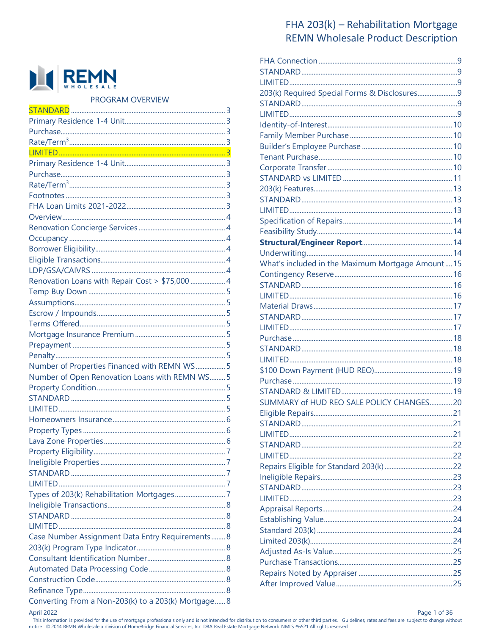

PROGRAM OVERVIEW

| Renovation Loans with Repair Cost > \$75,000  4     |  |
|-----------------------------------------------------|--|
|                                                     |  |
|                                                     |  |
|                                                     |  |
|                                                     |  |
|                                                     |  |
|                                                     |  |
|                                                     |  |
| Number of Properties Financed with REMN WS 5        |  |
| Number of Open Renovation Loans with REMN WS 5      |  |
|                                                     |  |
|                                                     |  |
|                                                     |  |
|                                                     |  |
|                                                     |  |
|                                                     |  |
|                                                     |  |
|                                                     |  |
|                                                     |  |
|                                                     |  |
|                                                     |  |
|                                                     |  |
|                                                     |  |
|                                                     |  |
| Case Number Assignment Data Entry Requirements 8    |  |
|                                                     |  |
|                                                     |  |
|                                                     |  |
|                                                     |  |
|                                                     |  |
| Converting From a Non-203(k) to a 203(k) Mortgage 8 |  |

# FHA 203(k) - Rehabilitation Mortgage **REMN Wholesale Product Description**

| 203(k) Required Special Forms & Disclosures 9    |  |
|--------------------------------------------------|--|
|                                                  |  |
|                                                  |  |
|                                                  |  |
|                                                  |  |
|                                                  |  |
|                                                  |  |
|                                                  |  |
|                                                  |  |
|                                                  |  |
|                                                  |  |
|                                                  |  |
|                                                  |  |
|                                                  |  |
|                                                  |  |
|                                                  |  |
|                                                  |  |
| What's included in the Maximum Mortgage Amount15 |  |
|                                                  |  |
|                                                  |  |
|                                                  |  |
|                                                  |  |
|                                                  |  |
|                                                  |  |
|                                                  |  |
|                                                  |  |
|                                                  |  |
|                                                  |  |
|                                                  |  |
|                                                  |  |
| SUMMARY of HUD REO SALE POLICY CHANGES20         |  |
| Eligible Repairs                                 |  |
|                                                  |  |
|                                                  |  |
|                                                  |  |
|                                                  |  |
|                                                  |  |
|                                                  |  |
|                                                  |  |
|                                                  |  |
|                                                  |  |
|                                                  |  |
|                                                  |  |
|                                                  |  |
|                                                  |  |
|                                                  |  |
|                                                  |  |
|                                                  |  |
|                                                  |  |

April 2022

This information is provided for the use of mortgage professionals only and is not intended for distribution to consumers or other third parties. Guidelines, rates and fees are subject to change without notice. © 2014 REMN Wholesale a division of HomeBridge Financial Services, Inc. DBA Real Estate Mortgage Network. NMLS #6521 All rights reserved.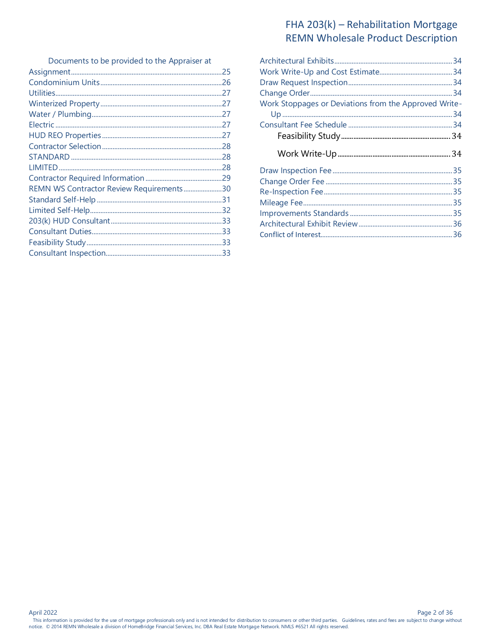| Documents to be provided to the Appraiser at |  |
|----------------------------------------------|--|
|                                              |  |
|                                              |  |
|                                              |  |
|                                              |  |
|                                              |  |
|                                              |  |
|                                              |  |
|                                              |  |
|                                              |  |
|                                              |  |
|                                              |  |
| REMN WS Contractor Review Requirements30     |  |
|                                              |  |
|                                              |  |
|                                              |  |
|                                              |  |
|                                              |  |
|                                              |  |
|                                              |  |

| Work Stoppages or Deviations from the Approved Write- |  |
|-------------------------------------------------------|--|
|                                                       |  |
|                                                       |  |
|                                                       |  |
|                                                       |  |
|                                                       |  |
|                                                       |  |
|                                                       |  |
|                                                       |  |
|                                                       |  |
|                                                       |  |
|                                                       |  |
|                                                       |  |
|                                                       |  |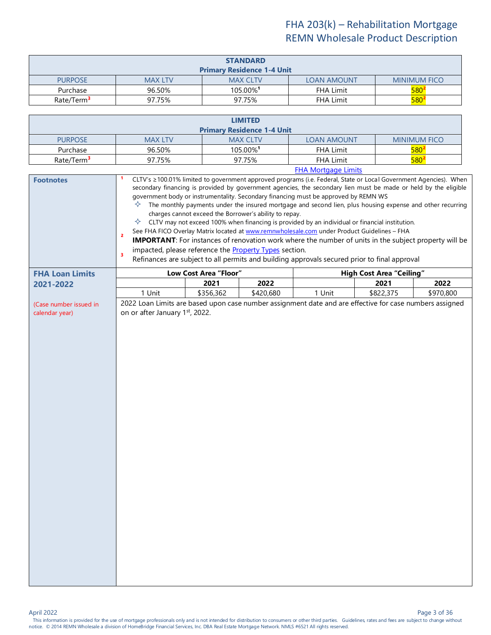<span id="page-2-1"></span><span id="page-2-0"></span>

| <b>STANDARD</b>                   |                |                      |                    |                     |
|-----------------------------------|----------------|----------------------|--------------------|---------------------|
| <b>Primary Residence 1-4 Unit</b> |                |                      |                    |                     |
| <b>PURPOSE</b>                    | <b>MAX LTV</b> | <b>MAX CLTV</b>      | <b>LOAN AMOUNT</b> | <b>MINIMUM FICO</b> |
| Purchase                          | 96.50%         | 105.00% <sup>1</sup> | <b>FHA Limit</b>   | 580 <sup>2</sup>    |
| Rate/Term <sup>3</sup>            | 97.75%         | 97.75%               | <b>FHA Limit</b>   | $580^4$             |

<span id="page-2-5"></span><span id="page-2-4"></span><span id="page-2-3"></span><span id="page-2-2"></span>

| <b>LIMITED</b>                    |                |                      |                            |                     |
|-----------------------------------|----------------|----------------------|----------------------------|---------------------|
| <b>Primary Residence 1-4 Unit</b> |                |                      |                            |                     |
| <b>PURPOSE</b>                    | <b>MAX LTV</b> | <b>MAX CLTV</b>      | <b>LOAN AMOUNT</b>         | <b>MINIMUM FICO</b> |
| Purchase                          | 96.50%         | 105.00% <sup>1</sup> | <b>FHA Limit</b>           | $580^2$             |
| Rate/Term <sup>3</sup>            | 97.75%         | 97.75%               | <b>FHA Limit</b>           | $580^2$             |
|                                   |                |                      | <b>FHA Mortgage Limits</b> |                     |

<span id="page-2-9"></span><span id="page-2-8"></span><span id="page-2-7"></span><span id="page-2-6"></span>

| <b>Footnotes</b>                         | CLTV's ≥100.01% limited to government approved programs (i.e. Federal, State or Local Government Agencies). When<br>secondary financing is provided by government agencies, the secondary lien must be made or held by the eligible<br>government body or instrumentality. Secondary financing must be approved by REMN WS<br>The monthly payments under the insured mortgage and second lien, plus housing expense and other recurring<br>✧<br>charges cannot exceed the Borrower's ability to repay.<br>✧<br>CLTV may not exceed 100% when financing is provided by an individual or financial institution.<br>See FHA FICO Overlay Matrix located at www.remnwholesale.com under Product Guidelines - FHA<br>$\overline{2}$<br><b>IMPORTANT:</b> For instances of renovation work where the number of units in the subject property will be<br>impacted, please reference the Property Types section.<br>$\overline{\mathbf{3}}$<br>Refinances are subject to all permits and building approvals secured prior to final approval |                       |                   |        |                                 |                   |
|------------------------------------------|-------------------------------------------------------------------------------------------------------------------------------------------------------------------------------------------------------------------------------------------------------------------------------------------------------------------------------------------------------------------------------------------------------------------------------------------------------------------------------------------------------------------------------------------------------------------------------------------------------------------------------------------------------------------------------------------------------------------------------------------------------------------------------------------------------------------------------------------------------------------------------------------------------------------------------------------------------------------------------------------------------------------------------------|-----------------------|-------------------|--------|---------------------------------|-------------------|
| <b>FHA Loan Limits</b>                   |                                                                                                                                                                                                                                                                                                                                                                                                                                                                                                                                                                                                                                                                                                                                                                                                                                                                                                                                                                                                                                     | Low Cost Area "Floor" |                   |        | <b>High Cost Area "Ceiling"</b> |                   |
| 2021-2022                                | 1 Unit                                                                                                                                                                                                                                                                                                                                                                                                                                                                                                                                                                                                                                                                                                                                                                                                                                                                                                                                                                                                                              | 2021<br>\$356,362     | 2022<br>\$420,680 | 1 Unit | 2021<br>\$822,375               | 2022<br>\$970,800 |
| (Case number issued in<br>calendar year) | 2022 Loan Limits are based upon case number assignment date and are effective for case numbers assigned<br>on or after January 1st, 2022.                                                                                                                                                                                                                                                                                                                                                                                                                                                                                                                                                                                                                                                                                                                                                                                                                                                                                           |                       |                   |        |                                 |                   |
|                                          |                                                                                                                                                                                                                                                                                                                                                                                                                                                                                                                                                                                                                                                                                                                                                                                                                                                                                                                                                                                                                                     |                       |                   |        |                                 |                   |

Page 3 of 36<br>This information is provided for the use of mortgage professionals only and is not intended for distribution to consumers or other third parties. Guidelines, rates and fees are subject to change without notice. © 2014 REMN Wholesale a division of HomeBridge Financial Services, Inc. DBA Real Estate Mortgage Network. NMLS #6521 All rights reserved.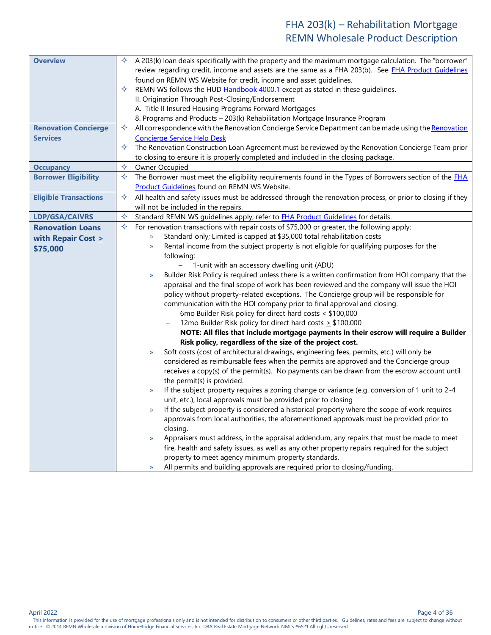<span id="page-3-6"></span><span id="page-3-5"></span><span id="page-3-4"></span><span id="page-3-3"></span><span id="page-3-2"></span><span id="page-3-1"></span><span id="page-3-0"></span>

| <b>Overview</b>              | A 203(k) loan deals specifically with the property and the maximum mortgage calculation. The "borrower"<br>✧<br>review regarding credit, income and assets are the same as a FHA 203(b). See FHA Product Guidelines<br>found on REMN WS Website for credit, income and asset guidelines.<br>✧<br>REMN WS follows the HUD Handbook 4000.1 except as stated in these guidelines.<br>II. Origination Through Post-Closing/Endorsement |
|------------------------------|------------------------------------------------------------------------------------------------------------------------------------------------------------------------------------------------------------------------------------------------------------------------------------------------------------------------------------------------------------------------------------------------------------------------------------|
|                              | A. Title II Insured Housing Programs Forward Mortgages                                                                                                                                                                                                                                                                                                                                                                             |
|                              | 8. Programs and Products - 203(k) Rehabilitation Mortgage Insurance Program                                                                                                                                                                                                                                                                                                                                                        |
| <b>Renovation Concierge</b>  | ✧<br>All correspondence with the Renovation Concierge Service Department can be made using the Renovation                                                                                                                                                                                                                                                                                                                          |
| <b>Services</b>              | <b>Concierge Service Help Desk</b>                                                                                                                                                                                                                                                                                                                                                                                                 |
|                              | The Renovation Construction Loan Agreement must be reviewed by the Renovation Concierge Team prior<br>✧                                                                                                                                                                                                                                                                                                                            |
|                              | to closing to ensure it is properly completed and included in the closing package.                                                                                                                                                                                                                                                                                                                                                 |
| <b>Occupancy</b>             | ✧<br>Owner Occupied                                                                                                                                                                                                                                                                                                                                                                                                                |
| <b>Borrower Eligibility</b>  | ✧<br>The Borrower must meet the eligibility requirements found in the Types of Borrowers section of the <b>FHA</b>                                                                                                                                                                                                                                                                                                                 |
|                              | Product Guidelines found on REMN WS Website.                                                                                                                                                                                                                                                                                                                                                                                       |
| <b>Eligible Transactions</b> | All health and safety issues must be addressed through the renovation process, or prior to closing if they<br>✧<br>will not be included in the repairs.                                                                                                                                                                                                                                                                            |
| LDP/GSA/CAIVRS               | $\Leftrightarrow$<br>Standard REMN WS guidelines apply; refer to FHA Product Guidelines for details.                                                                                                                                                                                                                                                                                                                               |
| <b>Renovation Loans</b>      | For renovation transactions with repair costs of \$75,000 or greater, the following apply:<br>✧                                                                                                                                                                                                                                                                                                                                    |
| with Repair Cost $\geq$      | Standard only; Limited is capped at \$35,000 total rehabilitation costs<br>$\mathbf{y}$                                                                                                                                                                                                                                                                                                                                            |
|                              | Rental income from the subject property is not eligible for qualifying purposes for the<br>$\rangle$                                                                                                                                                                                                                                                                                                                               |
| \$75,000                     | following:                                                                                                                                                                                                                                                                                                                                                                                                                         |
|                              | 1-unit with an accessory dwelling unit (ADU)                                                                                                                                                                                                                                                                                                                                                                                       |
|                              | Builder Risk Policy is required unless there is a written confirmation from HOI company that the<br>$\mathcal{Y}$                                                                                                                                                                                                                                                                                                                  |
|                              | appraisal and the final scope of work has been reviewed and the company will issue the HOI                                                                                                                                                                                                                                                                                                                                         |
|                              | policy without property-related exceptions. The Concierge group will be responsible for                                                                                                                                                                                                                                                                                                                                            |
|                              | communication with the HOI company prior to final approval and closing.                                                                                                                                                                                                                                                                                                                                                            |
|                              | 6mo Builder Risk policy for direct hard costs < \$100,000                                                                                                                                                                                                                                                                                                                                                                          |
|                              | 12mo Builder Risk policy for direct hard costs > \$100,000<br>$\qquad \qquad -$                                                                                                                                                                                                                                                                                                                                                    |
|                              | NOTE: All files that include mortgage payments in their escrow will require a Builder                                                                                                                                                                                                                                                                                                                                              |
|                              | Risk policy, regardless of the size of the project cost.                                                                                                                                                                                                                                                                                                                                                                           |
|                              | Soft costs (cost of architectural drawings, engineering fees, permits, etc.) will only be<br>$\mathcal{Y}$                                                                                                                                                                                                                                                                                                                         |
|                              | considered as reimbursable fees when the permits are approved and the Concierge group                                                                                                                                                                                                                                                                                                                                              |
|                              | receives a copy(s) of the permit(s). No payments can be drawn from the escrow account until                                                                                                                                                                                                                                                                                                                                        |
|                              | the permit(s) is provided.                                                                                                                                                                                                                                                                                                                                                                                                         |
|                              | If the subject property requires a zoning change or variance (e.g. conversion of 1 unit to 2-4<br>$\rightarrow$                                                                                                                                                                                                                                                                                                                    |
|                              | unit, etc.), local approvals must be provided prior to closing                                                                                                                                                                                                                                                                                                                                                                     |
|                              | If the subject property is considered a historical property where the scope of work requires<br>$\mathcal{V}$                                                                                                                                                                                                                                                                                                                      |
|                              | approvals from local authorities, the aforementioned approvals must be provided prior to                                                                                                                                                                                                                                                                                                                                           |
|                              | closing.<br>Appraisers must address, in the appraisal addendum, any repairs that must be made to meet                                                                                                                                                                                                                                                                                                                              |
|                              | $\mathcal{Y}$<br>fire, health and safety issues, as well as any other property repairs required for the subject                                                                                                                                                                                                                                                                                                                    |
|                              | property to meet agency minimum property standards.                                                                                                                                                                                                                                                                                                                                                                                |
|                              | All permits and building approvals are required prior to closing/funding.<br>$\mathcal{V}$                                                                                                                                                                                                                                                                                                                                         |
|                              |                                                                                                                                                                                                                                                                                                                                                                                                                                    |

April 2022 Page 4 of 36

Page 4 of 36<br>This information is provided for the use of mortgage professionals only and is not intended for distribution to consumers or other third parties. Guidelines, rates and fees are subject to change without notice. © 2014 REMN Wholesale a division of HomeBridge Financial Services, Inc. DBA Real Estate Mortgage Network. NMLS #6521 All rights reserved.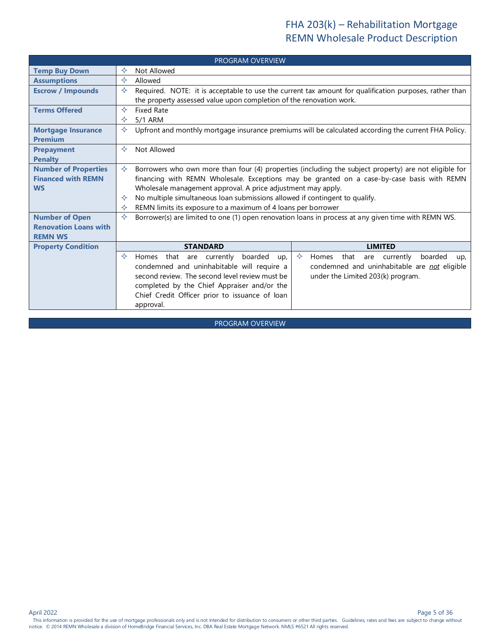<span id="page-4-9"></span><span id="page-4-8"></span><span id="page-4-7"></span><span id="page-4-6"></span><span id="page-4-5"></span><span id="page-4-4"></span><span id="page-4-3"></span><span id="page-4-2"></span><span id="page-4-1"></span><span id="page-4-0"></span>

|                                                          | <b>PROGRAM OVERVIEW</b>                                                                                                                                                                             |  |  |
|----------------------------------------------------------|-----------------------------------------------------------------------------------------------------------------------------------------------------------------------------------------------------|--|--|
| <b>Temp Buy Down</b>                                     | Not Allowed<br>✧                                                                                                                                                                                    |  |  |
| <b>Assumptions</b>                                       | ✧<br>Allowed                                                                                                                                                                                        |  |  |
| <b>Escrow / Impounds</b>                                 | ✧<br>Required. NOTE: it is acceptable to use the current tax amount for qualification purposes, rather than                                                                                         |  |  |
|                                                          | the property assessed value upon completion of the renovation work.                                                                                                                                 |  |  |
| <b>Terms Offered</b>                                     | ✧<br><b>Fixed Rate</b>                                                                                                                                                                              |  |  |
|                                                          | 5/1 ARM<br>✧                                                                                                                                                                                        |  |  |
| <b>Mortgage Insurance</b>                                | Upfront and monthly mortgage insurance premiums will be calculated according the current FHA Policy.<br>✧                                                                                           |  |  |
| <b>Premium</b>                                           |                                                                                                                                                                                                     |  |  |
| <b>Prepayment</b>                                        | Not Allowed<br>✧                                                                                                                                                                                    |  |  |
| <b>Penalty</b>                                           | ✧                                                                                                                                                                                                   |  |  |
| <b>Number of Properties</b><br><b>Financed with REMN</b> | Borrowers who own more than four (4) properties (including the subject property) are not eligible for<br>financing with REMN Wholesale. Exceptions may be granted on a case-by-case basis with REMN |  |  |
| <b>WS</b>                                                | Wholesale management approval. A price adjustment may apply.                                                                                                                                        |  |  |
|                                                          | No multiple simultaneous loan submissions allowed if contingent to qualify.<br>✧                                                                                                                    |  |  |
|                                                          | REMN limits its exposure to a maximum of 4 loans per borrower<br>✧                                                                                                                                  |  |  |
| <b>Number of Open</b>                                    | ✧<br>Borrower(s) are limited to one (1) open renovation loans in process at any given time with REMN WS.                                                                                            |  |  |
| <b>Renovation Loans with</b>                             |                                                                                                                                                                                                     |  |  |
| <b>REMN WS</b>                                           |                                                                                                                                                                                                     |  |  |
| <b>Property Condition</b>                                | <b>STANDARD</b><br><b>LIMITED</b>                                                                                                                                                                   |  |  |
|                                                          | $\leftrightarrow$<br>✧<br>Homes that are currently<br>boarded<br>that<br>currently<br>boarded<br>Homes<br>are<br>up,<br>up,                                                                         |  |  |
|                                                          | condemned and uninhabitable are not eligible<br>condemned and uninhabitable will require a                                                                                                          |  |  |
|                                                          | second review. The second level review must be<br>under the Limited 203(k) program.                                                                                                                 |  |  |
|                                                          | completed by the Chief Appraiser and/or the                                                                                                                                                         |  |  |
|                                                          | Chief Credit Officer prior to issuance of loan                                                                                                                                                      |  |  |
|                                                          | approval.                                                                                                                                                                                           |  |  |

<span id="page-4-11"></span><span id="page-4-10"></span>PROGRAM OVERVIEW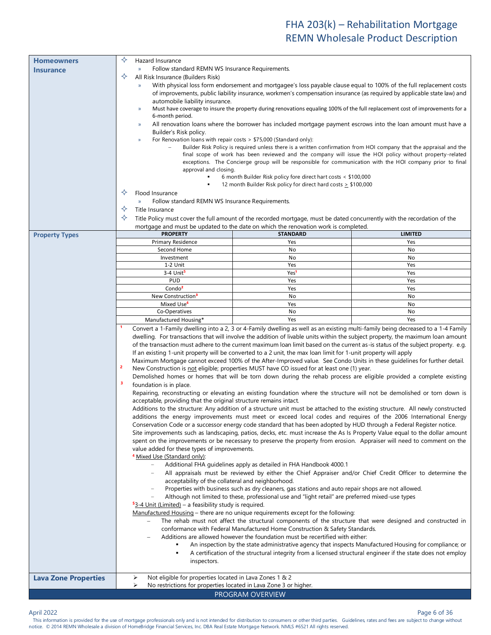<span id="page-5-1"></span><span id="page-5-0"></span>

| <b>Homeowners</b>           | ✧<br>Hazard Insurance                                                                                                                                                                                                          |                                                                                                                                       |                |
|-----------------------------|--------------------------------------------------------------------------------------------------------------------------------------------------------------------------------------------------------------------------------|---------------------------------------------------------------------------------------------------------------------------------------|----------------|
| <b>Insurance</b>            | Follow standard REMN WS Insurance Requirements.<br>$\mathcal{Y}$                                                                                                                                                               |                                                                                                                                       |                |
|                             | ✧<br>All Risk Insurance (Builders Risk)                                                                                                                                                                                        |                                                                                                                                       |                |
|                             | With physical loss form endorsement and mortgagee's loss payable clause equal to 100% of the full replacement costs<br>$\mathcal{Y}$                                                                                           |                                                                                                                                       |                |
|                             | of improvements, public liability insurance, workmen's compensation insurance (as required by applicable state law) and                                                                                                        |                                                                                                                                       |                |
|                             | automobile liability insurance.                                                                                                                                                                                                |                                                                                                                                       |                |
|                             | Must have coverage to insure the property during renovations equaling 100% of the full replacement cost of improvements for a<br>$\mathcal{Y}$                                                                                 |                                                                                                                                       |                |
|                             | 6-month period.                                                                                                                                                                                                                |                                                                                                                                       |                |
|                             | $\rangle$                                                                                                                                                                                                                      | All renovation loans where the borrower has included mortgage payment escrows into the loan amount must have a                        |                |
|                             | Builder's Risk policy.<br>$\mathcal{Y}$                                                                                                                                                                                        | For Renovation loans with repair costs $> $75,000$ (Standard only):                                                                   |                |
|                             |                                                                                                                                                                                                                                |                                                                                                                                       |                |
|                             | Builder Risk Policy is required unless there is a written confirmation from HOI company that the appraisal and the<br>final scope of work has been reviewed and the company will issue the HOI policy without property-related |                                                                                                                                       |                |
|                             | exceptions. The Concierge group will be responsible for communication with the HOI company prior to final                                                                                                                      |                                                                                                                                       |                |
|                             | approval and closing.                                                                                                                                                                                                          |                                                                                                                                       |                |
|                             |                                                                                                                                                                                                                                | 6 month Builder Risk policy fore direct hart costs < \$100,000<br>12 month Builder Risk policy for direct hard costs $\geq$ \$100,000 |                |
|                             | ✧<br>Flood Insurance                                                                                                                                                                                                           |                                                                                                                                       |                |
|                             | Follow standard REMN WS Insurance Requirements.                                                                                                                                                                                |                                                                                                                                       |                |
|                             | ✧<br>Title Insurance                                                                                                                                                                                                           |                                                                                                                                       |                |
|                             | ✧                                                                                                                                                                                                                              | Title Policy must cover the full amount of the recorded mortgage, must be dated concurrently with the recordation of the              |                |
|                             |                                                                                                                                                                                                                                | mortgage and must be updated to the date on which the renovation work is completed.                                                   |                |
| <b>Property Types</b>       | <b>PROPERTY</b>                                                                                                                                                                                                                | <b>STANDARD</b>                                                                                                                       | <b>LIMITED</b> |
|                             | Primary Residence                                                                                                                                                                                                              | Yes                                                                                                                                   | Yes            |
|                             | Second Home                                                                                                                                                                                                                    | No                                                                                                                                    | No             |
|                             | Investment                                                                                                                                                                                                                     | No                                                                                                                                    | No             |
|                             | 1-2 Unit                                                                                                                                                                                                                       | Yes                                                                                                                                   | Yes            |
|                             | 3-4 Unit <sup>5</sup><br><b>PUD</b>                                                                                                                                                                                            | Yes <sup>1</sup>                                                                                                                      | Yes            |
|                             | Condo <sup>2</sup>                                                                                                                                                                                                             | Yes<br>Yes                                                                                                                            | Yes<br>Yes     |
|                             | New Construction <sup>3</sup>                                                                                                                                                                                                  | No                                                                                                                                    | No             |
|                             | Mixed Use <sup>4</sup>                                                                                                                                                                                                         | Yes                                                                                                                                   | No             |
|                             | Co-Operatives                                                                                                                                                                                                                  | No                                                                                                                                    | No             |
|                             | Manufactured Housing*                                                                                                                                                                                                          | Yes                                                                                                                                   | Yes            |
|                             |                                                                                                                                                                                                                                | Convert a 1-Family dwelling into a 2, 3 or 4-Family dwelling as well as an existing multi-family being decreased to a 1-4 Family      |                |
|                             |                                                                                                                                                                                                                                | dwelling. For transactions that will involve the addition of livable units within the subject property, the maximum loan amount       |                |
|                             |                                                                                                                                                                                                                                | of the transaction must adhere to the current maximum loan limit based on the current as-is status of the subject property. e.g.      |                |
|                             |                                                                                                                                                                                                                                | If an existing 1-unit property will be converted to a 2 unit, the max loan limit for 1-unit property will apply                       |                |
|                             |                                                                                                                                                                                                                                | Maximum Mortgage cannot exceed 100% of the After-Improved value. See Condo Units in these guidelines for further detail.              |                |
|                             | $\overline{2}$                                                                                                                                                                                                                 | New Construction is not eligible; properties MUST have CO issued for at least one (1) year.                                           |                |
|                             | 3                                                                                                                                                                                                                              | Demolished homes or homes that will be torn down during the rehab process are eligible provided a complete existing                   |                |
|                             | foundation is in place.                                                                                                                                                                                                        | Repairing, reconstructing or elevating an existing foundation where the structure will not be demolished or torn down is              |                |
|                             | acceptable, providing that the original structure remains intact.                                                                                                                                                              |                                                                                                                                       |                |
|                             |                                                                                                                                                                                                                                | Additions to the structure: Any addition of a structure unit must be attached to the existing structure. All newly constructed        |                |
|                             |                                                                                                                                                                                                                                | additions the energy improvements must meet or exceed local codes and requires of the 2006 International Energy                       |                |
|                             |                                                                                                                                                                                                                                | Conservation Code or a successor energy code standard that has been adopted by HUD through a Federal Register notice.                 |                |
|                             |                                                                                                                                                                                                                                | Site improvements such as landscaping, patios, decks, etc. must increase the As Is Property Value equal to the dollar amount          |                |
|                             |                                                                                                                                                                                                                                | spent on the improvements or be necessary to preserve the property from erosion. Appraiser will need to comment on the                |                |
|                             | value added for these types of improvements.                                                                                                                                                                                   |                                                                                                                                       |                |
|                             | <sup>4</sup> Mixed Use (Standard only):                                                                                                                                                                                        |                                                                                                                                       |                |
|                             |                                                                                                                                                                                                                                | Additional FHA guidelines apply as detailed in FHA Handbook 4000.1                                                                    |                |
|                             |                                                                                                                                                                                                                                | All appraisals must be reviewed by either the Chief Appraiser and/or Chief Credit Officer to determine the                            |                |
|                             | acceptability of the collateral and neighborhood.                                                                                                                                                                              | Properties with business such as dry cleaners, gas stations and auto repair shops are not allowed.                                    |                |
|                             |                                                                                                                                                                                                                                | Although not limited to these, professional use and "light retail" are preferred mixed-use types                                      |                |
|                             | 53-4 Unit (Limited) - a feasibility study is required.                                                                                                                                                                         |                                                                                                                                       |                |
|                             |                                                                                                                                                                                                                                | Manufactured Housing - there are no unique requirements except for the following:                                                     |                |
|                             |                                                                                                                                                                                                                                | The rehab must not affect the structural components of the structure that were designed and constructed in                            |                |
|                             |                                                                                                                                                                                                                                | conformance with Federal Manufactured Home Construction & Safety Standards.                                                           |                |
|                             |                                                                                                                                                                                                                                | Additions are allowed however the foundation must be recertified with either:                                                         |                |
|                             |                                                                                                                                                                                                                                | An inspection by the state administrative agency that inspects Manufactured Housing for compliance; or                                |                |
|                             | ٠                                                                                                                                                                                                                              | A certification of the structural integrity from a licensed structural engineer if the state does not employ                          |                |
|                             | inspectors.                                                                                                                                                                                                                    |                                                                                                                                       |                |
|                             |                                                                                                                                                                                                                                |                                                                                                                                       |                |
| <b>Lava Zone Properties</b> | Not eligible for properties located in Lava Zones 1 & 2<br>➤                                                                                                                                                                   |                                                                                                                                       |                |
|                             | ⋗<br>No restrictions for properties located in Lava Zone 3 or higher.                                                                                                                                                          |                                                                                                                                       |                |
|                             |                                                                                                                                                                                                                                | PROGRAM OVERVIEW                                                                                                                      |                |

<span id="page-5-2"></span>Page 6 of 36<br>This information is provided for the use of mortgage professionals only and is not intended for distribution to consumers or other third parties. Guidelines, rates and fees are subject to change without notice. © 2014 REMN Wholesale a division of HomeBridge Financial Services, Inc. DBA Real Estate Mortgage Network. NMLS #6521 All rights reserved.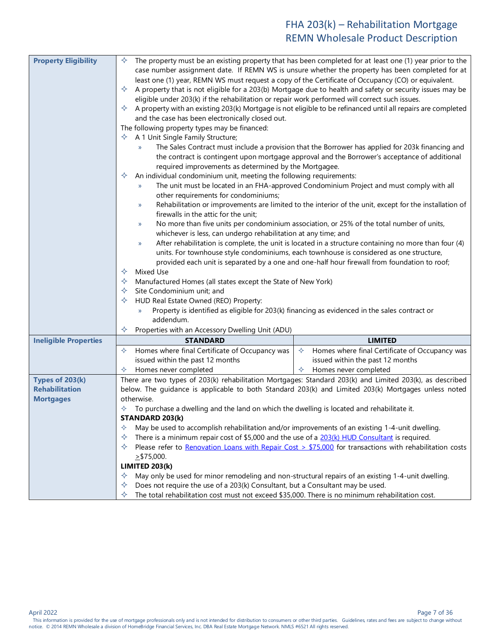<span id="page-6-4"></span><span id="page-6-3"></span><span id="page-6-2"></span><span id="page-6-1"></span><span id="page-6-0"></span>

| <b>Property Eligibility</b>  |                                                                                                                                                                                                                                                                                                                                                                                                                                                                                                                                                                                                                                                                                                                                                                                                                                                                                                                                                                                                                                                                                                                                                                                                                                                                                                                                                                                                                                                                                                                                                                                                                                                                                                                                                                                                                                                  |                                                                                                          |  |
|------------------------------|--------------------------------------------------------------------------------------------------------------------------------------------------------------------------------------------------------------------------------------------------------------------------------------------------------------------------------------------------------------------------------------------------------------------------------------------------------------------------------------------------------------------------------------------------------------------------------------------------------------------------------------------------------------------------------------------------------------------------------------------------------------------------------------------------------------------------------------------------------------------------------------------------------------------------------------------------------------------------------------------------------------------------------------------------------------------------------------------------------------------------------------------------------------------------------------------------------------------------------------------------------------------------------------------------------------------------------------------------------------------------------------------------------------------------------------------------------------------------------------------------------------------------------------------------------------------------------------------------------------------------------------------------------------------------------------------------------------------------------------------------------------------------------------------------------------------------------------------------|----------------------------------------------------------------------------------------------------------|--|
|                              | ✧<br>The property must be an existing property that has been completed for at least one (1) year prior to the<br>case number assignment date. If REMN WS is unsure whether the property has been completed for at<br>least one (1) year, REMN WS must request a copy of the Certificate of Occupancy (CO) or equivalent.<br>A property that is not eligible for a 203(b) Mortgage due to health and safety or security issues may be<br>✧<br>eligible under 203(k) if the rehabilitation or repair work performed will correct such issues.<br>A property with an existing 203(k) Mortgage is not eligible to be refinanced until all repairs are completed<br>✧<br>and the case has been electronically closed out.<br>The following property types may be financed:<br>A 1 Unit Single Family Structure;<br>✧<br>The Sales Contract must include a provision that the Borrower has applied for 203k financing and<br>y)<br>the contract is contingent upon mortgage approval and the Borrower's acceptance of additional<br>required improvements as determined by the Mortgagee.<br>An individual condominium unit, meeting the following requirements:<br>✧<br>The unit must be located in an FHA-approved Condominium Project and must comply with all<br>y)<br>other requirements for condominiums;<br>Rehabilitation or improvements are limited to the interior of the unit, except for the installation of<br>y)<br>firewalls in the attic for the unit;<br>No more than five units per condominium association, or 25% of the total number of units,<br>y)<br>whichever is less, can undergo rehabilitation at any time; and<br>After rehabilitation is complete, the unit is located in a structure containing no more than four (4)<br>y)<br>units. For townhouse style condominiums, each townhouse is considered as one structure, |                                                                                                          |  |
|                              |                                                                                                                                                                                                                                                                                                                                                                                                                                                                                                                                                                                                                                                                                                                                                                                                                                                                                                                                                                                                                                                                                                                                                                                                                                                                                                                                                                                                                                                                                                                                                                                                                                                                                                                                                                                                                                                  |                                                                                                          |  |
|                              | Mixed Use<br>✧                                                                                                                                                                                                                                                                                                                                                                                                                                                                                                                                                                                                                                                                                                                                                                                                                                                                                                                                                                                                                                                                                                                                                                                                                                                                                                                                                                                                                                                                                                                                                                                                                                                                                                                                                                                                                                   | provided each unit is separated by a one and one-half hour firewall from foundation to roof;             |  |
|                              | Manufactured Homes (all states except the State of New York)<br>✧                                                                                                                                                                                                                                                                                                                                                                                                                                                                                                                                                                                                                                                                                                                                                                                                                                                                                                                                                                                                                                                                                                                                                                                                                                                                                                                                                                                                                                                                                                                                                                                                                                                                                                                                                                                |                                                                                                          |  |
|                              | Site Condominium unit; and<br>✧                                                                                                                                                                                                                                                                                                                                                                                                                                                                                                                                                                                                                                                                                                                                                                                                                                                                                                                                                                                                                                                                                                                                                                                                                                                                                                                                                                                                                                                                                                                                                                                                                                                                                                                                                                                                                  |                                                                                                          |  |
|                              | HUD Real Estate Owned (REO) Property:<br>✧                                                                                                                                                                                                                                                                                                                                                                                                                                                                                                                                                                                                                                                                                                                                                                                                                                                                                                                                                                                                                                                                                                                                                                                                                                                                                                                                                                                                                                                                                                                                                                                                                                                                                                                                                                                                       |                                                                                                          |  |
|                              |                                                                                                                                                                                                                                                                                                                                                                                                                                                                                                                                                                                                                                                                                                                                                                                                                                                                                                                                                                                                                                                                                                                                                                                                                                                                                                                                                                                                                                                                                                                                                                                                                                                                                                                                                                                                                                                  |                                                                                                          |  |
|                              | $\mathcal{Y}$                                                                                                                                                                                                                                                                                                                                                                                                                                                                                                                                                                                                                                                                                                                                                                                                                                                                                                                                                                                                                                                                                                                                                                                                                                                                                                                                                                                                                                                                                                                                                                                                                                                                                                                                                                                                                                    | Property is identified as eligible for 203(k) financing as evidenced in the sales contract or            |  |
|                              | addendum.                                                                                                                                                                                                                                                                                                                                                                                                                                                                                                                                                                                                                                                                                                                                                                                                                                                                                                                                                                                                                                                                                                                                                                                                                                                                                                                                                                                                                                                                                                                                                                                                                                                                                                                                                                                                                                        |                                                                                                          |  |
|                              | Properties with an Accessory Dwelling Unit (ADU)<br>✧                                                                                                                                                                                                                                                                                                                                                                                                                                                                                                                                                                                                                                                                                                                                                                                                                                                                                                                                                                                                                                                                                                                                                                                                                                                                                                                                                                                                                                                                                                                                                                                                                                                                                                                                                                                            |                                                                                                          |  |
| <b>Ineligible Properties</b> | <b>STANDARD</b><br>Homes where final Certificate of Occupancy was<br>✧                                                                                                                                                                                                                                                                                                                                                                                                                                                                                                                                                                                                                                                                                                                                                                                                                                                                                                                                                                                                                                                                                                                                                                                                                                                                                                                                                                                                                                                                                                                                                                                                                                                                                                                                                                           | <b>LIMITED</b><br>Homes where final Certificate of Occupancy was<br>$\Leftrightarrow$                    |  |
|                              | issued within the past 12 months                                                                                                                                                                                                                                                                                                                                                                                                                                                                                                                                                                                                                                                                                                                                                                                                                                                                                                                                                                                                                                                                                                                                                                                                                                                                                                                                                                                                                                                                                                                                                                                                                                                                                                                                                                                                                 | issued within the past 12 months                                                                         |  |
|                              | Homes never completed<br>✧                                                                                                                                                                                                                                                                                                                                                                                                                                                                                                                                                                                                                                                                                                                                                                                                                                                                                                                                                                                                                                                                                                                                                                                                                                                                                                                                                                                                                                                                                                                                                                                                                                                                                                                                                                                                                       | Homes never completed<br>✧                                                                               |  |
| Types of 203(k)              |                                                                                                                                                                                                                                                                                                                                                                                                                                                                                                                                                                                                                                                                                                                                                                                                                                                                                                                                                                                                                                                                                                                                                                                                                                                                                                                                                                                                                                                                                                                                                                                                                                                                                                                                                                                                                                                  | There are two types of 203(k) rehabilitation Mortgages: Standard 203(k) and Limited 203(k), as described |  |
| <b>Rehabilitation</b>        |                                                                                                                                                                                                                                                                                                                                                                                                                                                                                                                                                                                                                                                                                                                                                                                                                                                                                                                                                                                                                                                                                                                                                                                                                                                                                                                                                                                                                                                                                                                                                                                                                                                                                                                                                                                                                                                  | below. The guidance is applicable to both Standard 203(k) and Limited 203(k) Mortgages unless noted      |  |
| <b>Mortgages</b>             | otherwise.<br>✧                                                                                                                                                                                                                                                                                                                                                                                                                                                                                                                                                                                                                                                                                                                                                                                                                                                                                                                                                                                                                                                                                                                                                                                                                                                                                                                                                                                                                                                                                                                                                                                                                                                                                                                                                                                                                                  |                                                                                                          |  |
|                              | To purchase a dwelling and the land on which the dwelling is located and rehabilitate it.<br><b>STANDARD 203(k)</b>                                                                                                                                                                                                                                                                                                                                                                                                                                                                                                                                                                                                                                                                                                                                                                                                                                                                                                                                                                                                                                                                                                                                                                                                                                                                                                                                                                                                                                                                                                                                                                                                                                                                                                                              |                                                                                                          |  |
|                              | May be used to accomplish rehabilitation and/or improvements of an existing 1-4-unit dwelling.<br>♦                                                                                                                                                                                                                                                                                                                                                                                                                                                                                                                                                                                                                                                                                                                                                                                                                                                                                                                                                                                                                                                                                                                                                                                                                                                                                                                                                                                                                                                                                                                                                                                                                                                                                                                                              |                                                                                                          |  |
|                              | There is a minimum repair cost of \$5,000 and the use of a $203(k)$ HUD Consultant is required.<br>✧                                                                                                                                                                                                                                                                                                                                                                                                                                                                                                                                                                                                                                                                                                                                                                                                                                                                                                                                                                                                                                                                                                                                                                                                                                                                                                                                                                                                                                                                                                                                                                                                                                                                                                                                             |                                                                                                          |  |
|                              | ✧                                                                                                                                                                                                                                                                                                                                                                                                                                                                                                                                                                                                                                                                                                                                                                                                                                                                                                                                                                                                                                                                                                                                                                                                                                                                                                                                                                                                                                                                                                                                                                                                                                                                                                                                                                                                                                                | Please refer to Renovation Loans with Repair Cost > $$75,000$ for transactions with rehabilitation costs |  |
|                              | $\ge$ \$75,000.<br>LIMITED 203(k)                                                                                                                                                                                                                                                                                                                                                                                                                                                                                                                                                                                                                                                                                                                                                                                                                                                                                                                                                                                                                                                                                                                                                                                                                                                                                                                                                                                                                                                                                                                                                                                                                                                                                                                                                                                                                |                                                                                                          |  |
|                              | May only be used for minor remodeling and non-structural repairs of an existing 1-4-unit dwelling.<br>✧                                                                                                                                                                                                                                                                                                                                                                                                                                                                                                                                                                                                                                                                                                                                                                                                                                                                                                                                                                                                                                                                                                                                                                                                                                                                                                                                                                                                                                                                                                                                                                                                                                                                                                                                          |                                                                                                          |  |
|                              | Does not require the use of a 203(k) Consultant, but a Consultant may be used.<br>✧<br>✧<br>The total rehabilitation cost must not exceed \$35,000. There is no minimum rehabilitation cost.                                                                                                                                                                                                                                                                                                                                                                                                                                                                                                                                                                                                                                                                                                                                                                                                                                                                                                                                                                                                                                                                                                                                                                                                                                                                                                                                                                                                                                                                                                                                                                                                                                                     |                                                                                                          |  |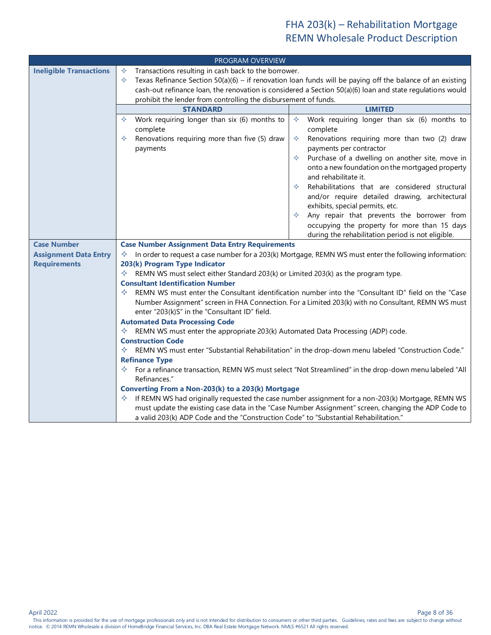<span id="page-7-9"></span><span id="page-7-8"></span><span id="page-7-7"></span><span id="page-7-6"></span><span id="page-7-5"></span><span id="page-7-4"></span><span id="page-7-3"></span><span id="page-7-2"></span><span id="page-7-1"></span><span id="page-7-0"></span>

|                                | PROGRAM OVERVIEW                                                                                                                                                            |                                                                                                                                 |  |
|--------------------------------|-----------------------------------------------------------------------------------------------------------------------------------------------------------------------------|---------------------------------------------------------------------------------------------------------------------------------|--|
| <b>Ineligible Transactions</b> | Transactions resulting in cash back to the borrower.<br>✧<br>Texas Refinance Section 50(a)(6) – if renovation loan funds will be paying off the balance of an existing<br>✧ |                                                                                                                                 |  |
|                                | cash-out refinance loan, the renovation is considered a Section 50(a)(6) loan and state regulations would                                                                   |                                                                                                                                 |  |
|                                | prohibit the lender from controlling the disbursement of funds.                                                                                                             |                                                                                                                                 |  |
|                                | <b>STANDARD</b>                                                                                                                                                             | <b>LIMITED</b>                                                                                                                  |  |
|                                | Work requiring longer than six (6) months to<br>✧<br>complete                                                                                                               | Work requiring longer than six (6) months to<br>✧<br>complete                                                                   |  |
|                                | Renovations requiring more than five (5) draw<br>✧<br>payments                                                                                                              | Renovations requiring more than two (2) draw<br>✧<br>payments per contractor                                                    |  |
|                                |                                                                                                                                                                             | Purchase of a dwelling on another site, move in<br>✧<br>onto a new foundation on the mortgaged property<br>and rehabilitate it. |  |
|                                |                                                                                                                                                                             | Rehabilitations that are considered structural<br>✧<br>and/or require detailed drawing, architectural                           |  |
|                                |                                                                                                                                                                             | exhibits, special permits, etc.<br>Any repair that prevents the borrower from<br>✧                                              |  |
|                                |                                                                                                                                                                             | occupying the property for more than 15 days<br>during the rehabilitation period is not eligible.                               |  |
| <b>Case Number</b>             | <b>Case Number Assignment Data Entry Requirements</b>                                                                                                                       |                                                                                                                                 |  |
| <b>Assignment Data Entry</b>   | $\Diamond$ In order to request a case number for a 203(k) Mortgage, REMN WS must enter the following information:                                                           |                                                                                                                                 |  |
| <b>Requirements</b>            | 203(k) Program Type Indicator                                                                                                                                               |                                                                                                                                 |  |
|                                | $\Diamond$ REMN WS must select either Standard 203(k) or Limited 203(k) as the program type.                                                                                |                                                                                                                                 |  |
|                                | <b>Consultant Identification Number</b><br>REMN WS must enter the Consultant identification number into the "Consultant ID" field on the "Case<br>✧                         |                                                                                                                                 |  |
|                                | Number Assignment" screen in FHA Connection. For a Limited 203(k) with no Consultant, REMN WS must<br>enter "203(k)S" in the "Consultant ID" field.                         |                                                                                                                                 |  |
|                                | <b>Automated Data Processing Code</b>                                                                                                                                       |                                                                                                                                 |  |
|                                | $\Diamond$ REMN WS must enter the appropriate 203(k) Automated Data Processing (ADP) code.                                                                                  |                                                                                                                                 |  |
|                                | <b>Construction Code</b>                                                                                                                                                    |                                                                                                                                 |  |
|                                | ✧                                                                                                                                                                           | REMN WS must enter "Substantial Rehabilitation" in the drop-down menu labeled "Construction Code."                              |  |
|                                | <b>Refinance Type</b><br>✧                                                                                                                                                  | For a refinance transaction, REMN WS must select "Not Streamlined" in the drop-down menu labeled "All                           |  |
|                                | Refinances."                                                                                                                                                                |                                                                                                                                 |  |
|                                | Converting From a Non-203(k) to a 203(k) Mortgage                                                                                                                           |                                                                                                                                 |  |
|                                | ✧                                                                                                                                                                           | If REMN WS had originally requested the case number assignment for a non-203(k) Mortgage, REMN WS                               |  |
|                                | a valid 203(k) ADP Code and the "Construction Code" to "Substantial Rehabilitation."                                                                                        | must update the existing case data in the "Case Number Assignment" screen, changing the ADP Code to                             |  |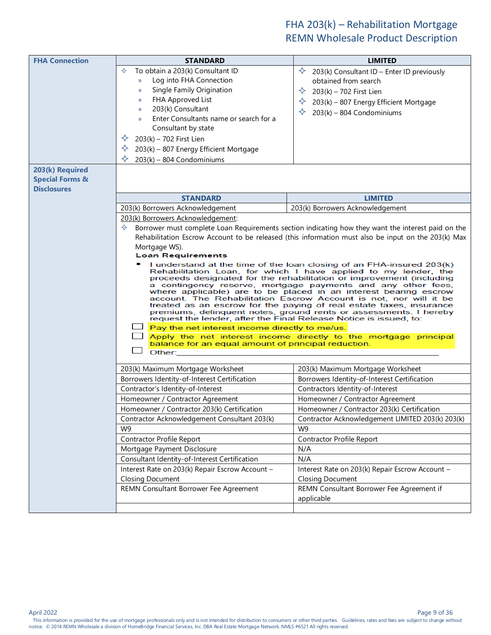<span id="page-8-5"></span><span id="page-8-4"></span><span id="page-8-3"></span><span id="page-8-2"></span><span id="page-8-1"></span><span id="page-8-0"></span>

| <b>FHA Connection</b>      | <b>STANDARD</b>                                                                                                                                                                                                                                                                                                                                                                                                                                                                                                                                                                                                                                                                              | <b>LIMITED</b>                                                                                      |  |
|----------------------------|----------------------------------------------------------------------------------------------------------------------------------------------------------------------------------------------------------------------------------------------------------------------------------------------------------------------------------------------------------------------------------------------------------------------------------------------------------------------------------------------------------------------------------------------------------------------------------------------------------------------------------------------------------------------------------------------|-----------------------------------------------------------------------------------------------------|--|
|                            | To obtain a 203(k) Consultant ID<br>✧                                                                                                                                                                                                                                                                                                                                                                                                                                                                                                                                                                                                                                                        | ✧<br>203(k) Consultant ID - Enter ID previously                                                     |  |
|                            | Log into FHA Connection<br>$\mathcal{Y}$                                                                                                                                                                                                                                                                                                                                                                                                                                                                                                                                                                                                                                                     | obtained from search                                                                                |  |
|                            | Single Family Origination<br>$\mathcal{Y}$                                                                                                                                                                                                                                                                                                                                                                                                                                                                                                                                                                                                                                                   | ✧<br>203(k) - 702 First Lien                                                                        |  |
|                            | FHA Approved List<br>$\mathcal{Y}$                                                                                                                                                                                                                                                                                                                                                                                                                                                                                                                                                                                                                                                           | ✧<br>203(k) - 807 Energy Efficient Mortgage                                                         |  |
|                            | 203(k) Consultant<br>$\mathcal{Y}$                                                                                                                                                                                                                                                                                                                                                                                                                                                                                                                                                                                                                                                           | ✧<br>$203(k) - 804$ Condominiums                                                                    |  |
|                            | Enter Consultants name or search for a<br>$\mathcal{Y}$                                                                                                                                                                                                                                                                                                                                                                                                                                                                                                                                                                                                                                      |                                                                                                     |  |
|                            | Consultant by state                                                                                                                                                                                                                                                                                                                                                                                                                                                                                                                                                                                                                                                                          |                                                                                                     |  |
|                            | ✧<br>203(k) - 702 First Lien                                                                                                                                                                                                                                                                                                                                                                                                                                                                                                                                                                                                                                                                 |                                                                                                     |  |
|                            | ✧<br>203(k) - 807 Energy Efficient Mortgage                                                                                                                                                                                                                                                                                                                                                                                                                                                                                                                                                                                                                                                  |                                                                                                     |  |
|                            | ✧<br>$203(k) - 804$ Condominiums                                                                                                                                                                                                                                                                                                                                                                                                                                                                                                                                                                                                                                                             |                                                                                                     |  |
| 203(k) Required            |                                                                                                                                                                                                                                                                                                                                                                                                                                                                                                                                                                                                                                                                                              |                                                                                                     |  |
| <b>Special Forms &amp;</b> |                                                                                                                                                                                                                                                                                                                                                                                                                                                                                                                                                                                                                                                                                              |                                                                                                     |  |
| <b>Disclosures</b>         | <b>STANDARD</b>                                                                                                                                                                                                                                                                                                                                                                                                                                                                                                                                                                                                                                                                              | <b>LIMITED</b>                                                                                      |  |
|                            | 203(k) Borrowers Acknowledgement                                                                                                                                                                                                                                                                                                                                                                                                                                                                                                                                                                                                                                                             | 203(k) Borrowers Acknowledgement                                                                    |  |
|                            | 203(k) Borrowers Acknowledgement:                                                                                                                                                                                                                                                                                                                                                                                                                                                                                                                                                                                                                                                            |                                                                                                     |  |
|                            | ✧                                                                                                                                                                                                                                                                                                                                                                                                                                                                                                                                                                                                                                                                                            | Borrower must complete Loan Requirements section indicating how they want the interest paid on the  |  |
|                            |                                                                                                                                                                                                                                                                                                                                                                                                                                                                                                                                                                                                                                                                                              | Rehabilitation Escrow Account to be released (this information must also be input on the 203(k) Max |  |
|                            | Mortgage WS).                                                                                                                                                                                                                                                                                                                                                                                                                                                                                                                                                                                                                                                                                |                                                                                                     |  |
|                            | <b>Loan Requirements</b>                                                                                                                                                                                                                                                                                                                                                                                                                                                                                                                                                                                                                                                                     |                                                                                                     |  |
|                            | I understand at the time of the loan closing of an FHA-insured 203(k)<br>Rehabilitation Loan, for which I have applied to my lender, the<br>proceeds designated for the rehabilitation or improvement (including<br>a contingency reserve, mortgage payments and any other fees,<br>where applicable) are to be placed in an interest bearing escrow<br>account. The Rehabilitation Escrow Account is not, nor will it be<br>treated as an escrow for the paying of real estate taxes, insurance<br>premiums, delinquent notes, ground rents or assessments. I hereby<br>request the lender, after the Final Release Notice is issued, to:<br>Pay the net interest income directly to me/us. |                                                                                                     |  |
|                            |                                                                                                                                                                                                                                                                                                                                                                                                                                                                                                                                                                                                                                                                                              | Apply the net interest income directly to the mortgage principal                                    |  |
|                            | balance for an equal amount of principal reduction.                                                                                                                                                                                                                                                                                                                                                                                                                                                                                                                                                                                                                                          |                                                                                                     |  |
|                            | Other:                                                                                                                                                                                                                                                                                                                                                                                                                                                                                                                                                                                                                                                                                       |                                                                                                     |  |
|                            | 203(k) Maximum Mortgage Worksheet                                                                                                                                                                                                                                                                                                                                                                                                                                                                                                                                                                                                                                                            | 203(k) Maximum Mortgage Worksheet                                                                   |  |
|                            | Borrowers Identity-of-Interest Certification                                                                                                                                                                                                                                                                                                                                                                                                                                                                                                                                                                                                                                                 | Borrowers Identity-of-Interest Certification                                                        |  |
|                            | Contractor's Identity-of-Interest                                                                                                                                                                                                                                                                                                                                                                                                                                                                                                                                                                                                                                                            | Contractors Identity-of-Interest                                                                    |  |
|                            | Homeowner / Contractor Agreement                                                                                                                                                                                                                                                                                                                                                                                                                                                                                                                                                                                                                                                             | Homeowner / Contractor Agreement                                                                    |  |
|                            | Homeowner / Contractor 203(k) Certification                                                                                                                                                                                                                                                                                                                                                                                                                                                                                                                                                                                                                                                  | Homeowner / Contractor 203(k) Certification                                                         |  |
|                            | Contractor Acknowledgement Consultant 203(k)                                                                                                                                                                                                                                                                                                                                                                                                                                                                                                                                                                                                                                                 | Contractor Acknowledgement LIMITED 203(k) 203(k)                                                    |  |
|                            | W <sub>9</sub>                                                                                                                                                                                                                                                                                                                                                                                                                                                                                                                                                                                                                                                                               | W <sub>9</sub>                                                                                      |  |
|                            | Contractor Profile Report                                                                                                                                                                                                                                                                                                                                                                                                                                                                                                                                                                                                                                                                    | Contractor Profile Report                                                                           |  |
|                            | Mortgage Payment Disclosure                                                                                                                                                                                                                                                                                                                                                                                                                                                                                                                                                                                                                                                                  | N/A                                                                                                 |  |
|                            | Consultant Identity-of-Interest Certification                                                                                                                                                                                                                                                                                                                                                                                                                                                                                                                                                                                                                                                | N/A                                                                                                 |  |
|                            | Interest Rate on 203(k) Repair Escrow Account -                                                                                                                                                                                                                                                                                                                                                                                                                                                                                                                                                                                                                                              | Interest Rate on 203(k) Repair Escrow Account -                                                     |  |
|                            | <b>Closing Document</b>                                                                                                                                                                                                                                                                                                                                                                                                                                                                                                                                                                                                                                                                      | <b>Closing Document</b>                                                                             |  |
|                            | REMN Consultant Borrower Fee Agreement                                                                                                                                                                                                                                                                                                                                                                                                                                                                                                                                                                                                                                                       | REMN Consultant Borrower Fee Agreement if<br>applicable                                             |  |
|                            |                                                                                                                                                                                                                                                                                                                                                                                                                                                                                                                                                                                                                                                                                              |                                                                                                     |  |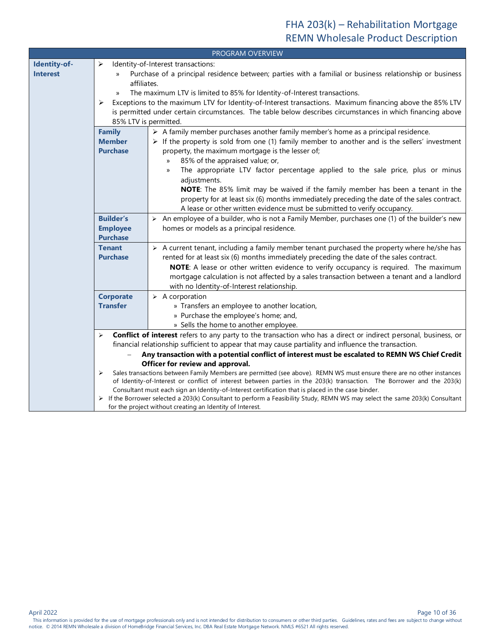<span id="page-9-4"></span><span id="page-9-3"></span><span id="page-9-2"></span><span id="page-9-1"></span><span id="page-9-0"></span>

| PROGRAM OVERVIEW |                                                                          |                                                                                                                                                                                                                                    |  |  |  |  |
|------------------|--------------------------------------------------------------------------|------------------------------------------------------------------------------------------------------------------------------------------------------------------------------------------------------------------------------------|--|--|--|--|
| Identity-of-     | ➤                                                                        | Identity-of-Interest transactions:                                                                                                                                                                                                 |  |  |  |  |
| <b>Interest</b>  |                                                                          | Purchase of a principal residence between; parties with a familial or business relationship or business                                                                                                                            |  |  |  |  |
|                  | affiliates.                                                              |                                                                                                                                                                                                                                    |  |  |  |  |
|                  | $\mathcal{Y}$                                                            | The maximum LTV is limited to 85% for Identity-of-Interest transactions.                                                                                                                                                           |  |  |  |  |
|                  | ➤                                                                        | Exceptions to the maximum LTV for Identity-of-Interest transactions. Maximum financing above the 85% LTV                                                                                                                           |  |  |  |  |
|                  |                                                                          | is permitted under certain circumstances. The table below describes circumstances in which financing above                                                                                                                         |  |  |  |  |
|                  | 85% LTV is permitted.                                                    |                                                                                                                                                                                                                                    |  |  |  |  |
|                  | <b>Family</b>                                                            | $\triangleright$ A family member purchases another family member's home as a principal residence.                                                                                                                                  |  |  |  |  |
|                  | <b>Member</b>                                                            | $\triangleright$ If the property is sold from one (1) family member to another and is the sellers' investment                                                                                                                      |  |  |  |  |
|                  | <b>Purchase</b>                                                          | property, the maximum mortgage is the lesser of;                                                                                                                                                                                   |  |  |  |  |
|                  |                                                                          | 85% of the appraised value; or,<br>y)                                                                                                                                                                                              |  |  |  |  |
|                  |                                                                          | The appropriate LTV factor percentage applied to the sale price, plus or minus<br>»                                                                                                                                                |  |  |  |  |
|                  |                                                                          | adjustments.                                                                                                                                                                                                                       |  |  |  |  |
|                  |                                                                          | NOTE: The 85% limit may be waived if the family member has been a tenant in the                                                                                                                                                    |  |  |  |  |
|                  |                                                                          | property for at least six (6) months immediately preceding the date of the sales contract.                                                                                                                                         |  |  |  |  |
|                  | A lease or other written evidence must be submitted to verify occupancy. |                                                                                                                                                                                                                                    |  |  |  |  |
|                  | <b>Builder's</b>                                                         | $\triangleright$ An employee of a builder, who is not a Family Member, purchases one (1) of the builder's new                                                                                                                      |  |  |  |  |
|                  | <b>Employee</b>                                                          | homes or models as a principal residence.                                                                                                                                                                                          |  |  |  |  |
|                  | <b>Purchase</b>                                                          |                                                                                                                                                                                                                                    |  |  |  |  |
|                  | <b>Tenant</b>                                                            | $\triangleright$ A current tenant, including a family member tenant purchased the property where he/she has                                                                                                                        |  |  |  |  |
|                  | <b>Purchase</b>                                                          | rented for at least six (6) months immediately preceding the date of the sales contract.                                                                                                                                           |  |  |  |  |
|                  |                                                                          | NOTE: A lease or other written evidence to verify occupancy is required. The maximum                                                                                                                                               |  |  |  |  |
|                  |                                                                          | mortgage calculation is not affected by a sales transaction between a tenant and a landlord                                                                                                                                        |  |  |  |  |
|                  |                                                                          | with no Identity-of-Interest relationship.                                                                                                                                                                                         |  |  |  |  |
|                  | <b>Corporate</b>                                                         | $\triangleright$ A corporation                                                                                                                                                                                                     |  |  |  |  |
|                  | <b>Transfer</b>                                                          | » Transfers an employee to another location,                                                                                                                                                                                       |  |  |  |  |
|                  |                                                                          | » Purchase the employee's home; and,                                                                                                                                                                                               |  |  |  |  |
|                  |                                                                          | » Sells the home to another employee.                                                                                                                                                                                              |  |  |  |  |
|                  | $\blacktriangleright$                                                    | Conflict of interest refers to any party to the transaction who has a direct or indirect personal, business, or                                                                                                                    |  |  |  |  |
|                  |                                                                          | financial relationship sufficient to appear that may cause partiality and influence the transaction.                                                                                                                               |  |  |  |  |
|                  |                                                                          | Any transaction with a potential conflict of interest must be escalated to REMN WS Chief Credit                                                                                                                                    |  |  |  |  |
|                  |                                                                          | Officer for review and approval.                                                                                                                                                                                                   |  |  |  |  |
|                  | ➤                                                                        | Sales transactions between Family Members are permitted (see above). REMN WS must ensure there are no other instances                                                                                                              |  |  |  |  |
|                  |                                                                          | of Identity-of-Interest or conflict of interest between parties in the 203(k) transaction. The Borrower and the 203(k)                                                                                                             |  |  |  |  |
|                  |                                                                          | Consultant must each sign an Identity-of-Interest certification that is placed in the case binder.<br>> If the Borrower selected a 203(k) Consultant to perform a Feasibility Study, REMN WS may select the same 203(k) Consultant |  |  |  |  |
|                  |                                                                          | for the project without creating an Identity of Interest.                                                                                                                                                                          |  |  |  |  |

April 2022 Page 10 of 36

Page 10 of 36<br>This information is provided for the use of mortgage professionals only and is not intended for distribution to consumers or other third parties. Guidelines, rates and fees are subject to change without notice. © 2014 REMN Wholesale a division of HomeBridge Financial Services, Inc. DBA Real Estate Mortgage Network. NMLS #6521 All rights reserved.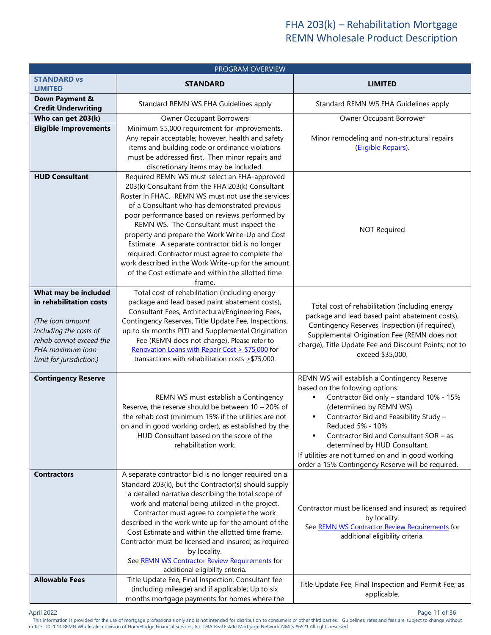<span id="page-10-0"></span>

| <b>PROGRAM OVERVIEW</b>                                                                                                                                                  |                                                                                                                                                                                                                                                                                                                                                                                                                                                                                                                                                                                     |                                                                                                                                                                                                                                                                                                                                                                                                                 |  |  |  |
|--------------------------------------------------------------------------------------------------------------------------------------------------------------------------|-------------------------------------------------------------------------------------------------------------------------------------------------------------------------------------------------------------------------------------------------------------------------------------------------------------------------------------------------------------------------------------------------------------------------------------------------------------------------------------------------------------------------------------------------------------------------------------|-----------------------------------------------------------------------------------------------------------------------------------------------------------------------------------------------------------------------------------------------------------------------------------------------------------------------------------------------------------------------------------------------------------------|--|--|--|
| <b>STANDARD vs</b><br><b>LIMITED</b>                                                                                                                                     | <b>STANDARD</b>                                                                                                                                                                                                                                                                                                                                                                                                                                                                                                                                                                     | <b>LIMITED</b>                                                                                                                                                                                                                                                                                                                                                                                                  |  |  |  |
| Down Payment &<br><b>Credit Underwriting</b>                                                                                                                             | Standard REMN WS FHA Guidelines apply                                                                                                                                                                                                                                                                                                                                                                                                                                                                                                                                               | Standard REMN WS FHA Guidelines apply                                                                                                                                                                                                                                                                                                                                                                           |  |  |  |
| Who can get 203(k)                                                                                                                                                       | <b>Owner Occupant Borrowers</b>                                                                                                                                                                                                                                                                                                                                                                                                                                                                                                                                                     | Owner Occupant Borrower                                                                                                                                                                                                                                                                                                                                                                                         |  |  |  |
| <b>Eligible Improvements</b>                                                                                                                                             | Minimum \$5,000 requirement for improvements.<br>Any repair acceptable; however, health and safety<br>items and building code or ordinance violations<br>must be addressed first. Then minor repairs and<br>discretionary items may be included.                                                                                                                                                                                                                                                                                                                                    | Minor remodeling and non-structural repairs<br>(Eligible Repairs).                                                                                                                                                                                                                                                                                                                                              |  |  |  |
| <b>HUD Consultant</b>                                                                                                                                                    | Required REMN WS must select an FHA-approved<br>203(k) Consultant from the FHA 203(k) Consultant<br>Roster in FHAC. REMN WS must not use the services<br>of a Consultant who has demonstrated previous<br>poor performance based on reviews performed by<br>REMN WS. The Consultant must inspect the<br>property and prepare the Work Write-Up and Cost<br>Estimate. A separate contractor bid is no longer<br>required. Contractor must agree to complete the<br>work described in the Work Write-up for the amount<br>of the Cost estimate and within the allotted time<br>frame. | <b>NOT Required</b>                                                                                                                                                                                                                                                                                                                                                                                             |  |  |  |
| What may be included<br>in rehabilitation costs<br>(The loan amount<br>including the costs of<br>rehab cannot exceed the<br>FHA maximum loan<br>limit for jurisdiction.) | Total cost of rehabilitation (including energy<br>package and lead based paint abatement costs),<br>Consultant Fees, Architectural/Engineering Fees,<br>Contingency Reserves, Title Update Fee, Inspections,<br>up to six months PITI and Supplemental Origination<br>Fee (REMN does not charge). Please refer to<br>Renovation Loans with Repair Cost > \$75,000 for<br>transactions with rehabilitation costs $\geq$ \$75,000.                                                                                                                                                    | Total cost of rehabilitation (including energy<br>package and lead based paint abatement costs),<br>Contingency Reserves, Inspection (if required),<br>Supplemental Origination Fee (REMN does not<br>charge), Title Update Fee and Discount Points; not to<br>exceed \$35,000.                                                                                                                                 |  |  |  |
| <b>Contingency Reserve</b>                                                                                                                                               | REMN WS must establish a Contingency<br>Reserve, the reserve should be between $10 - 20\%$ of<br>the rehab cost (minimum 15% if the utilities are not<br>on and in good working order), as established by the<br>HUD Consultant based on the score of the<br>rehabilitation work.                                                                                                                                                                                                                                                                                                   | REMN WS will establish a Contingency Reserve<br>based on the following options:<br>Contractor Bid only - standard 10% - 15%<br>(determined by REMN WS)<br>Contractor Bid and Feasibility Study -<br>٠<br>Reduced 5% - 10%<br>Contractor Bid and Consultant SOR - as<br>determined by HUD Consultant.<br>If utilities are not turned on and in good working<br>order a 15% Contingency Reserve will be required. |  |  |  |
| <b>Contractors</b>                                                                                                                                                       | A separate contractor bid is no longer required on a<br>Standard 203(k), but the Contractor(s) should supply<br>a detailed narrative describing the total scope of<br>work and material being utilized in the project.<br>Contractor must agree to complete the work<br>described in the work write up for the amount of the<br>Cost Estimate and within the allotted time frame.<br>Contractor must be licensed and insured; as required<br>by locality.<br>See REMN WS Contractor Review Requirements for<br>additional eligibility criteria.                                     | Contractor must be licensed and insured; as required<br>by locality.<br>See REMN WS Contractor Review Requirements for<br>additional eligibility criteria.                                                                                                                                                                                                                                                      |  |  |  |
| <b>Allowable Fees</b>                                                                                                                                                    | Title Update Fee, Final Inspection, Consultant fee<br>(including mileage) and if applicable; Up to six<br>months mortgage payments for homes where the                                                                                                                                                                                                                                                                                                                                                                                                                              | Title Update Fee, Final Inspection and Permit Fee; as<br>applicable.                                                                                                                                                                                                                                                                                                                                            |  |  |  |

Page 11 of 36<br>This information is provided for the use of mortgage professionals only and is not intended for distribution to consumers or other third parties. Guidelines, rates and fees are subject to change without notice. © 2014 REMN Wholesale a division of HomeBridge Financial Services, Inc. DBA Real Estate Mortgage Network. NMLS #6521 All rights reserved.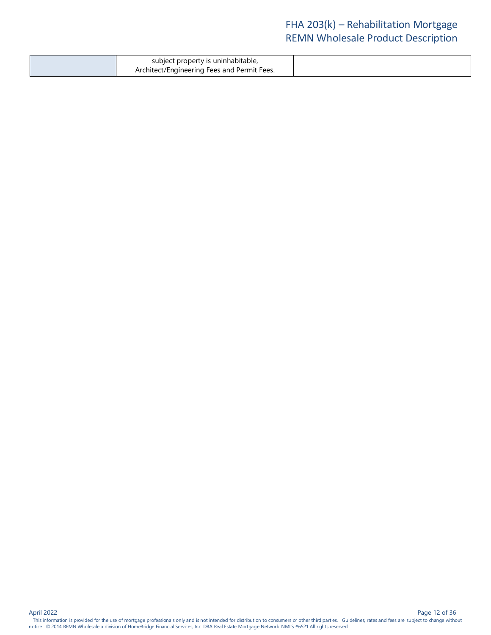| subject property is uninhabitable,          |  |
|---------------------------------------------|--|
| Architect/Engineering Fees and Permit Fees. |  |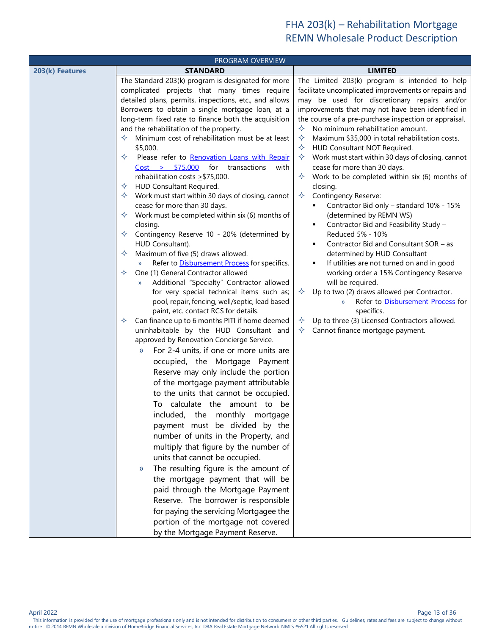<span id="page-12-2"></span><span id="page-12-1"></span><span id="page-12-0"></span>

| PROGRAM OVERVIEW |                                                                                             |                                                                                        |  |  |  |
|------------------|---------------------------------------------------------------------------------------------|----------------------------------------------------------------------------------------|--|--|--|
| 203(k) Features  | <b>STANDARD</b>                                                                             | <b>LIMITED</b>                                                                         |  |  |  |
|                  | The Standard 203(k) program is designated for more                                          | The Limited 203(k) program is intended to help                                         |  |  |  |
|                  | complicated projects that many times require                                                | facilitate uncomplicated improvements or repairs and                                   |  |  |  |
|                  | detailed plans, permits, inspections, etc., and allows                                      | may be used for discretionary repairs and/or                                           |  |  |  |
|                  | Borrowers to obtain a single mortgage loan, at a                                            | improvements that may not have been identified in                                      |  |  |  |
|                  | long-term fixed rate to finance both the acquisition                                        | the course of a pre-purchase inspection or appraisal.                                  |  |  |  |
|                  | and the rehabilitation of the property.                                                     | No minimum rehabilitation amount.<br>✧                                                 |  |  |  |
|                  | Minimum cost of rehabilitation must be at least                                             | Maximum \$35,000 in total rehabilitation costs.<br>✧<br>✧                              |  |  |  |
|                  | \$5,000.<br>Please refer to Renovation Loans with Repair<br>✧                               | HUD Consultant NOT Required.<br>Work must start within 30 days of closing, cannot<br>✧ |  |  |  |
|                  | Cost > \$75,000<br>for transactions<br>with                                                 | cease for more than 30 days.                                                           |  |  |  |
|                  | rehabilitation costs $\geq$ \$75,000.                                                       | Work to be completed within six (6) months of<br>✧                                     |  |  |  |
|                  | HUD Consultant Required.<br>✧                                                               | closing.                                                                               |  |  |  |
|                  | Work must start within 30 days of closing, cannot                                           | ✧<br><b>Contingency Reserve:</b>                                                       |  |  |  |
|                  | cease for more than 30 days.                                                                | Contractor Bid only - standard 10% - 15%                                               |  |  |  |
|                  | Work must be completed within six (6) months of                                             | (determined by REMN WS)                                                                |  |  |  |
|                  | closing.                                                                                    | Contractor Bid and Feasibility Study -<br>٠                                            |  |  |  |
|                  | Contingency Reserve 10 - 20% (determined by                                                 | Reduced 5% - 10%                                                                       |  |  |  |
|                  | HUD Consultant).                                                                            | Contractor Bid and Consultant SOR - as<br>٠                                            |  |  |  |
|                  | Maximum of five (5) draws allowed.<br>✧                                                     | determined by HUD Consultant                                                           |  |  |  |
|                  | Refer to Disbursement Process for specifics.<br>$\mathcal{Y}$                               | If utilities are not turned on and in good<br>٠                                        |  |  |  |
|                  | One (1) General Contractor allowed<br>✧                                                     | working order a 15% Contingency Reserve                                                |  |  |  |
|                  | Additional "Specialty" Contractor allowed<br>$\mathcal{Y}$                                  | will be required.                                                                      |  |  |  |
|                  | for very special technical items such as;                                                   | Up to two (2) draws allowed per Contractor.<br>✧                                       |  |  |  |
|                  | pool, repair, fencing, well/septic, lead based                                              | Refer to Disbursement Process for<br>$\rangle\!\rangle$                                |  |  |  |
|                  | paint, etc. contact RCS for details.<br>Can finance up to 6 months PITI if home deemed<br>✧ | specifics.<br>Up to three (3) Licensed Contractors allowed.<br>✧                       |  |  |  |
|                  | uninhabitable by the HUD Consultant and                                                     | Cannot finance mortgage payment.<br>✧                                                  |  |  |  |
|                  | approved by Renovation Concierge Service.                                                   |                                                                                        |  |  |  |
|                  | For 2-4 units, if one or more units are<br>$\mathcal{Y}$                                    |                                                                                        |  |  |  |
|                  | occupied, the Mortgage Payment                                                              |                                                                                        |  |  |  |
|                  | Reserve may only include the portion                                                        |                                                                                        |  |  |  |
|                  | of the mortgage payment attributable                                                        |                                                                                        |  |  |  |
|                  | to the units that cannot be occupied.                                                       |                                                                                        |  |  |  |
|                  |                                                                                             |                                                                                        |  |  |  |
|                  | To calculate the amount to be                                                               |                                                                                        |  |  |  |
|                  | included, the monthly mortgage                                                              |                                                                                        |  |  |  |
|                  | payment must be divided by the                                                              |                                                                                        |  |  |  |
|                  | number of units in the Property, and                                                        |                                                                                        |  |  |  |
|                  | multiply that figure by the number of                                                       |                                                                                        |  |  |  |
|                  | units that cannot be occupied.                                                              |                                                                                        |  |  |  |
|                  | The resulting figure is the amount of<br>$\mathcal{Y}$                                      |                                                                                        |  |  |  |
|                  | the mortgage payment that will be                                                           |                                                                                        |  |  |  |
|                  | paid through the Mortgage Payment                                                           |                                                                                        |  |  |  |
|                  | Reserve. The borrower is responsible                                                        |                                                                                        |  |  |  |
|                  | for paying the servicing Mortgagee the                                                      |                                                                                        |  |  |  |
|                  | portion of the mortgage not covered                                                         |                                                                                        |  |  |  |
|                  | by the Mortgage Payment Reserve.                                                            |                                                                                        |  |  |  |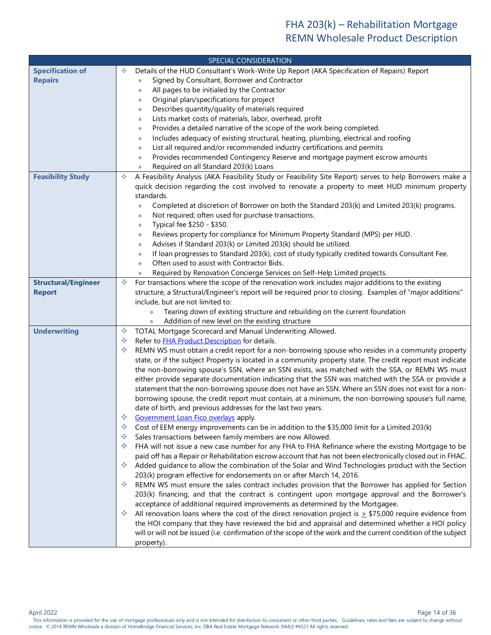<span id="page-13-3"></span><span id="page-13-2"></span><span id="page-13-1"></span><span id="page-13-0"></span>

|                            | SPECIAL CONSIDERATION                                                                                                                                                             |
|----------------------------|-----------------------------------------------------------------------------------------------------------------------------------------------------------------------------------|
| <b>Specification of</b>    | Details of the HUD Consultant's Work-Write Up Report (AKA Specification of Repairs) Report<br>✧                                                                                   |
| <b>Repairs</b>             | Signed by Consultant, Borrower and Contractor<br>y)                                                                                                                               |
|                            | All pages to be initialed by the Contractor<br>y)                                                                                                                                 |
|                            | Original plan/specifications for project<br>y)                                                                                                                                    |
|                            | Describes quantity/quality of materials required<br>y)                                                                                                                            |
|                            | Lists market costs of materials, labor, overhead, profit<br>y)                                                                                                                    |
|                            | Provides a detailed narrative of the scope of the work being completed.<br>y)                                                                                                     |
|                            | Includes adequacy of existing structural, heating, plumbing, electrical and roofing<br>y)                                                                                         |
|                            | List all required and/or recommended industry certifications and permits<br>y)                                                                                                    |
|                            | Provides recommended Contingency Reserve and mortgage payment escrow amounts<br>y)                                                                                                |
| <b>Feasibility Study</b>   | Required on all Standard 203(k) Loans<br>y)<br>A Feasibility Analysis (AKA Feasibility Study or Feasibility Site Report) serves to help Borrowers make a<br>✧                     |
|                            | quick decision regarding the cost involved to renovate a property to meet HUD minimum property                                                                                    |
|                            | standards.                                                                                                                                                                        |
|                            | Completed at discretion of Borrower on both the Standard 203(k) and Limited 203(k) programs.<br>y)                                                                                |
|                            | Not required; often used for purchase transactions.<br>»                                                                                                                          |
|                            | Typical fee \$250 - \$350.<br>y)                                                                                                                                                  |
|                            | Reviews property for compliance for Minimum Property Standard (MPS) per HUD.<br>y)                                                                                                |
|                            | Advises if Standard 203(k) or Limited 203(k) should be utilized.<br>y)                                                                                                            |
|                            | If Ioan progresses to Standard 203(k), cost of study typically credited towards Consultant Fee.<br>y)                                                                             |
|                            | Often used to assist with Contractor Bids.<br>y)                                                                                                                                  |
|                            | Required by Renovation Concierge Services on Self-Help Limited projects.<br>y)                                                                                                    |
| <b>Structural/Engineer</b> | For transactions where the scope of the renovation work includes major additions to the existing<br>✧                                                                             |
| <b>Report</b>              | structure, a Structural/Engineer's report will be required prior to closing. Examples of "major additions"                                                                        |
|                            | include, but are not limited to:                                                                                                                                                  |
|                            | Tearing down of existing structure and rebuilding on the current foundation<br>$\mathcal{Y}$                                                                                      |
|                            | Addition of new level on the existing structure<br>y)                                                                                                                             |
| <b>Underwriting</b>        | TOTAL Mortgage Scorecard and Manual Underwriting Allowed.<br>✧<br>Refer to FHA Product Description for details.<br>✧                                                              |
|                            | REMN WS must obtain a credit report for a non-borrowing spouse who resides in a community property<br>✧                                                                           |
|                            | state, or if the subject Property is located in a community property state. The credit report must indicate                                                                       |
|                            | the non-borrowing spouse's SSN, where an SSN exists, was matched with the SSA, or REMN WS must                                                                                    |
|                            | either provide separate documentation indicating that the SSN was matched with the SSA or provide a                                                                               |
|                            | statement that the non-borrowing spouse does not have an SSN. Where an SSN does not exist for a non-                                                                              |
|                            | borrowing spouse, the credit report must contain, at a minimum, the non-borrowing spouse's full name,                                                                             |
|                            | date of birth, and previous addresses for the last two years.                                                                                                                     |
|                            | ✧<br>Government Loan Fico overlays apply.                                                                                                                                         |
|                            | ✧<br>Cost of EEM energy improvements can be in addition to the \$35,000 limit for a Limited 203(k)                                                                                |
|                            | Sales transactions between family members are now Allowed.<br>✧                                                                                                                   |
|                            | FHA will not issue a new case number for any FHA to FHA Refinance where the existing Mortgage to be<br>✧                                                                          |
|                            | paid off has a Repair or Rehabilitation escrow account that has not been electronically closed out in FHAC.                                                                       |
|                            | Added guidance to allow the combination of the Solar and Wind Technologies product with the Section<br>✧                                                                          |
|                            | 203(k) program effective for endorsements on or after March 14, 2016.                                                                                                             |
|                            | REMN WS must ensure the sales contract includes provision that the Borrower has applied for Section<br>✧                                                                          |
|                            | 203(k) financing, and that the contract is contingent upon mortgage approval and the Borrower's<br>acceptance of additional required improvements as determined by the Mortgagee. |
|                            | All renovation loans where the cost of the direct renovation project is $\geq$ \$75,000 require evidence from<br>✧                                                                |
|                            | the HOI company that they have reviewed the bid and appraisal and determined whether a HOI policy                                                                                 |
|                            | will or will not be issued (i.e. confirmation of the scope of the work and the current condition of the subject                                                                   |
|                            | property).                                                                                                                                                                        |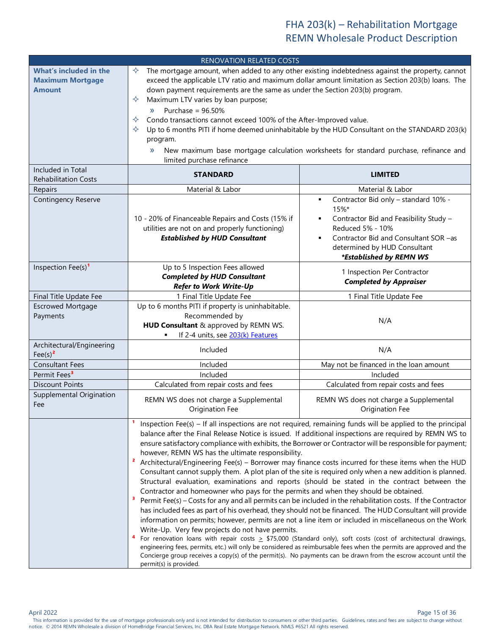<span id="page-14-0"></span>

| <b>RENOVATION RELATED COSTS</b>                                           |                                                                                                                                                                                                                                                                                                                                                                                                                                                                                                                                                                                                                                                                                                                                                                                                                                                                                                                                                                                                                                                                                                                                                                                                                                                                                                                                                                                                                                                                                                                                                                                                               |                                                                                                                                                                                                                                            |  |  |
|---------------------------------------------------------------------------|---------------------------------------------------------------------------------------------------------------------------------------------------------------------------------------------------------------------------------------------------------------------------------------------------------------------------------------------------------------------------------------------------------------------------------------------------------------------------------------------------------------------------------------------------------------------------------------------------------------------------------------------------------------------------------------------------------------------------------------------------------------------------------------------------------------------------------------------------------------------------------------------------------------------------------------------------------------------------------------------------------------------------------------------------------------------------------------------------------------------------------------------------------------------------------------------------------------------------------------------------------------------------------------------------------------------------------------------------------------------------------------------------------------------------------------------------------------------------------------------------------------------------------------------------------------------------------------------------------------|--------------------------------------------------------------------------------------------------------------------------------------------------------------------------------------------------------------------------------------------|--|--|
| <b>What's included in the</b><br><b>Maximum Mortgage</b><br><b>Amount</b> | The mortgage amount, when added to any other existing indebtedness against the property, cannot<br>✧<br>exceed the applicable LTV ratio and maximum dollar amount limitation as Section 203(b) loans. The<br>down payment requirements are the same as under the Section 203(b) program.<br>Maximum LTV varies by loan purpose;<br>✧<br>Purchase = $96.50\%$<br>$\mathcal{Y}$<br>✧<br>Condo transactions cannot exceed 100% of the After-Improved value.<br>✧<br>Up to 6 months PITI if home deemed uninhabitable by the HUD Consultant on the STANDARD 203(k)<br>program.<br>New maximum base mortgage calculation worksheets for standard purchase, refinance and<br>$\rangle$<br>limited purchase refinance                                                                                                                                                                                                                                                                                                                                                                                                                                                                                                                                                                                                                                                                                                                                                                                                                                                                                                |                                                                                                                                                                                                                                            |  |  |
| Included in Total<br><b>Rehabilitation Costs</b>                          | <b>STANDARD</b><br><b>LIMITED</b>                                                                                                                                                                                                                                                                                                                                                                                                                                                                                                                                                                                                                                                                                                                                                                                                                                                                                                                                                                                                                                                                                                                                                                                                                                                                                                                                                                                                                                                                                                                                                                             |                                                                                                                                                                                                                                            |  |  |
| Repairs<br>Contingency Reserve                                            | Material & Labor<br>10 - 20% of Financeable Repairs and Costs (15% if<br>utilities are not on and properly functioning)<br><b>Established by HUD Consultant</b>                                                                                                                                                                                                                                                                                                                                                                                                                                                                                                                                                                                                                                                                                                                                                                                                                                                                                                                                                                                                                                                                                                                                                                                                                                                                                                                                                                                                                                               | Material & Labor<br>Contractor Bid only - standard 10% -<br>п<br>$15%$ *<br>Contractor Bid and Feasibility Study -<br>Reduced 5% - 10%<br>Contractor Bid and Consultant SOR -as<br>determined by HUD Consultant<br>*Established by REMN WS |  |  |
| Inspection Fee(s) <sup>1</sup>                                            | Up to 5 Inspection Fees allowed<br>1 Inspection Per Contractor<br><b>Completed by HUD Consultant</b><br><b>Completed by Appraiser</b><br><b>Refer to Work Write-Up</b>                                                                                                                                                                                                                                                                                                                                                                                                                                                                                                                                                                                                                                                                                                                                                                                                                                                                                                                                                                                                                                                                                                                                                                                                                                                                                                                                                                                                                                        |                                                                                                                                                                                                                                            |  |  |
| Final Title Update Fee<br><b>Escrowed Mortgage</b><br>Payments            | 1 Final Title Update Fee<br>1 Final Title Update Fee<br>Up to 6 months PITI if property is uninhabitable.<br>Recommended by<br>N/A<br>HUD Consultant & approved by REMN WS.<br>If 2-4 units, see 203(k) Features                                                                                                                                                                                                                                                                                                                                                                                                                                                                                                                                                                                                                                                                                                                                                                                                                                                                                                                                                                                                                                                                                                                                                                                                                                                                                                                                                                                              |                                                                                                                                                                                                                                            |  |  |
| Architectural/Engineering<br>$\text{Fee(s)}^2$                            | Included<br>N/A                                                                                                                                                                                                                                                                                                                                                                                                                                                                                                                                                                                                                                                                                                                                                                                                                                                                                                                                                                                                                                                                                                                                                                                                                                                                                                                                                                                                                                                                                                                                                                                               |                                                                                                                                                                                                                                            |  |  |
| <b>Consultant Fees</b>                                                    | Included                                                                                                                                                                                                                                                                                                                                                                                                                                                                                                                                                                                                                                                                                                                                                                                                                                                                                                                                                                                                                                                                                                                                                                                                                                                                                                                                                                                                                                                                                                                                                                                                      | May not be financed in the loan amount                                                                                                                                                                                                     |  |  |
| Permit Fees <sup>3</sup>                                                  | Included                                                                                                                                                                                                                                                                                                                                                                                                                                                                                                                                                                                                                                                                                                                                                                                                                                                                                                                                                                                                                                                                                                                                                                                                                                                                                                                                                                                                                                                                                                                                                                                                      | Included                                                                                                                                                                                                                                   |  |  |
| <b>Discount Points</b>                                                    | Calculated from repair costs and fees                                                                                                                                                                                                                                                                                                                                                                                                                                                                                                                                                                                                                                                                                                                                                                                                                                                                                                                                                                                                                                                                                                                                                                                                                                                                                                                                                                                                                                                                                                                                                                         | Calculated from repair costs and fees                                                                                                                                                                                                      |  |  |
| Supplemental Origination<br>Fee                                           | REMN WS does not charge a Supplemental<br>Origination Fee                                                                                                                                                                                                                                                                                                                                                                                                                                                                                                                                                                                                                                                                                                                                                                                                                                                                                                                                                                                                                                                                                                                                                                                                                                                                                                                                                                                                                                                                                                                                                     | REMN WS does not charge a Supplemental<br>Origination Fee                                                                                                                                                                                  |  |  |
|                                                                           | Inspection Fee(s) - If all inspections are not required, remaining funds will be applied to the principal<br>balance after the Final Release Notice is issued. If additional inspections are required by REMN WS to<br>ensure satisfactory compliance with exhibits, the Borrower or Contractor will be responsible for payment;<br>however, REMN WS has the ultimate responsibility.<br>$\overline{\mathbf{z}}$<br>Architectural/Engineering Fee(s) - Borrower may finance costs incurred for these items when the HUD<br>Consultant cannot supply them. A plot plan of the site is required only when a new addition is planned.<br>Structural evaluation, examinations and reports (should be stated in the contract between the<br>Contractor and homeowner who pays for the permits and when they should be obtained.<br>Permit Fee(s) - Costs for any and all permits can be included in the rehabilitation costs. If the Contractor<br>has included fees as part of his overhead, they should not be financed. The HUD Consultant will provide<br>information on permits; however, permits are not a line item or included in miscellaneous on the Work<br>Write-Up. Very few projects do not have permits.<br>For renovation loans with repair costs $\geq$ \$75,000 (Standard only), soft costs (cost of architectural drawings,<br>engineering fees, permits, etc.) will only be considered as reimbursable fees when the permits are approved and the<br>Concierge group receives a copy(s) of the permit(s). No payments can be drawn from the escrow account until the<br>permit(s) is provided. |                                                                                                                                                                                                                                            |  |  |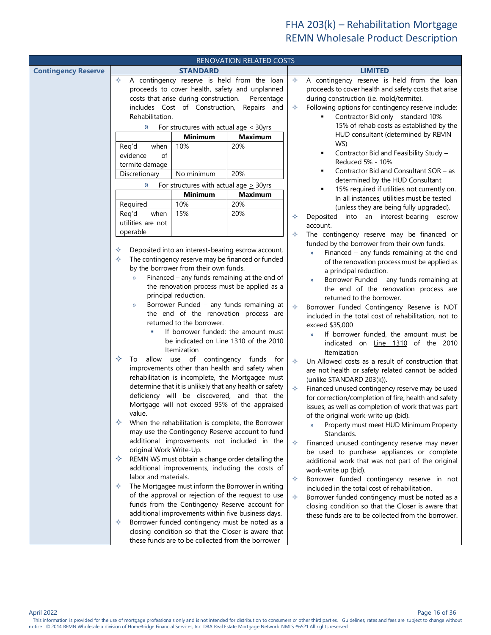<span id="page-15-2"></span><span id="page-15-1"></span><span id="page-15-0"></span>

|                            | RENOVATION RELATED COSTS                                           |                                             |                                                         |                   |                                                                                 |
|----------------------------|--------------------------------------------------------------------|---------------------------------------------|---------------------------------------------------------|-------------------|---------------------------------------------------------------------------------|
| <b>Contingency Reserve</b> | <b>STANDARD</b>                                                    |                                             |                                                         |                   | <b>LIMITED</b>                                                                  |
|                            | A contingency reserve is held from the loan<br>✧                   |                                             |                                                         | ♦                 | A contingency reserve is held from the loan                                     |
|                            |                                                                    |                                             | proceeds to cover health, safety and unplanned          |                   | proceeds to cover health and safety costs that arise                            |
|                            | costs that arise during construction.<br>Percentage                |                                             |                                                         |                   | during construction (i.e. mold/termite).                                        |
|                            |                                                                    | includes Cost of Construction,              | Repairs and                                             | ✧                 | Following options for contingency reserve include:                              |
|                            | Rehabilitation.                                                    |                                             |                                                         |                   | Contractor Bid only - standard 10% -                                            |
|                            | »                                                                  | For structures with actual age < 30yrs      |                                                         |                   | 15% of rehab costs as established by the                                        |
|                            |                                                                    | <b>Minimum</b>                              | <b>Maximum</b>                                          |                   | HUD consultant (determined by REMN                                              |
|                            | Req'd<br>when                                                      | 10%                                         | 20%                                                     |                   | WS)                                                                             |
|                            | of<br>evidence                                                     |                                             |                                                         |                   | Contractor Bid and Feasibility Study -<br>٠                                     |
|                            | termite damage                                                     |                                             |                                                         |                   | Reduced 5% - 10%                                                                |
|                            | Discretionary                                                      | No minimum                                  | 20%                                                     |                   | Contractor Bid and Consultant SOR - as                                          |
|                            | »                                                                  | For structures with actual age $\geq$ 30yrs |                                                         |                   | determined by the HUD Consultant                                                |
|                            |                                                                    | <b>Minimum</b>                              | <b>Maximum</b>                                          |                   | 15% required if utilities not currently on.                                     |
|                            |                                                                    | 10%                                         | 20%                                                     |                   | In all instances, utilities must be tested                                      |
|                            | Required<br>Req'd<br>when                                          | 15%                                         | 20%                                                     |                   | (unless they are being fully upgraded).                                         |
|                            |                                                                    |                                             |                                                         | ✧                 | into an interest-bearing escrow<br>Deposited                                    |
|                            | utilities are not<br>operable                                      |                                             |                                                         |                   | account.                                                                        |
|                            |                                                                    |                                             |                                                         | ✧                 | The contingency reserve may be financed or                                      |
|                            | ✧                                                                  |                                             | Deposited into an interest-bearing escrow account.      |                   | funded by the borrower from their own funds.                                    |
|                            | ✧                                                                  |                                             |                                                         |                   | Financed $-$ any funds remaining at the end<br>$\mathcal{Y}$                    |
|                            |                                                                    | by the borrower from their own funds.       | The contingency reserve may be financed or funded       |                   | of the renovation process must be applied as                                    |
|                            |                                                                    |                                             | Financed - any funds remaining at the end of            |                   | a principal reduction.                                                          |
|                            | $\mathcal{Y}$                                                      |                                             | the renovation process must be applied as a             |                   | Borrower Funded - any funds remaining at<br>$\mathcal{Y}$                       |
|                            |                                                                    |                                             |                                                         |                   | the end of the renovation process are                                           |
|                            |                                                                    | principal reduction.                        |                                                         |                   | returned to the borrower.                                                       |
|                            | Borrower Funded - any funds remaining at<br>$\rangle$              |                                             |                                                         | ♦                 | Borrower Funded Contingency Reserve is NOT                                      |
|                            | the end of the renovation process are<br>returned to the borrower. |                                             |                                                         |                   | included in the total cost of rehabilitation, not to                            |
|                            | If borrower funded; the amount must                                |                                             |                                                         |                   | exceed \$35,000                                                                 |
|                            | be indicated on Line 1310 of the 2010                              |                                             |                                                         |                   | If borrower funded, the amount must be<br>$\mathcal{Y}$                         |
|                            | Itemization                                                        |                                             |                                                         |                   | indicated on Line 1310 of the 2010                                              |
|                            | allow use of contingency funds for<br>✧<br>To                      |                                             |                                                         |                   | Itemization                                                                     |
|                            | improvements other than health and safety when                     |                                             |                                                         | ✧                 | Un Allowed costs as a result of construction that                               |
|                            |                                                                    |                                             | rehabilitation is incomplete, the Mortgagee must        |                   | are not health or safety related cannot be added                                |
|                            |                                                                    |                                             | determine that it is unlikely that any health or safety | $\Leftrightarrow$ | (unlike STANDARD 203(k)).                                                       |
|                            |                                                                    |                                             | deficiency will be discovered, and that the             |                   | Financed unused contingency reserve may be used                                 |
|                            |                                                                    |                                             | Mortgage will not exceed 95% of the appraised           |                   | for correction/completion of fire, health and safety                            |
|                            | value.                                                             |                                             |                                                         |                   | issues, as well as completion of work that was part                             |
|                            |                                                                    |                                             | When the rehabilitation is complete, the Borrower       |                   | of the original work-write up (bid).<br>Property must meet HUD Minimum Property |
|                            |                                                                    |                                             | may use the Contingency Reserve account to fund         |                   | Standards.                                                                      |
|                            |                                                                    |                                             | additional improvements not included in the             | ♦                 | Financed unused contingency reserve may never                                   |
|                            | original Work Write-Up.                                            |                                             |                                                         |                   | be used to purchase appliances or complete                                      |
|                            | ✧                                                                  |                                             | REMN WS must obtain a change order detailing the        |                   | additional work that was not part of the original                               |
|                            |                                                                    |                                             | additional improvements, including the costs of         |                   | work-write up (bid).                                                            |
|                            | labor and materials.                                               |                                             |                                                         | ♦                 | Borrower funded contingency reserve in not                                      |
|                            | ✧                                                                  |                                             | The Mortgagee must inform the Borrower in writing       |                   | included in the total cost of rehabilitation.                                   |
|                            |                                                                    |                                             | of the approval or rejection of the request to use      | ❖                 | Borrower funded contingency must be noted as a                                  |
|                            |                                                                    |                                             | funds from the Contingency Reserve account for          |                   | closing condition so that the Closer is aware that                              |
|                            |                                                                    |                                             | additional improvements within five business days.      |                   | these funds are to be collected from the borrower.                              |
|                            | ✧                                                                  |                                             | Borrower funded contingency must be noted as a          |                   |                                                                                 |
|                            |                                                                    |                                             | closing condition so that the Closer is aware that      |                   |                                                                                 |
|                            | these funds are to be collected from the borrower                  |                                             |                                                         |                   |                                                                                 |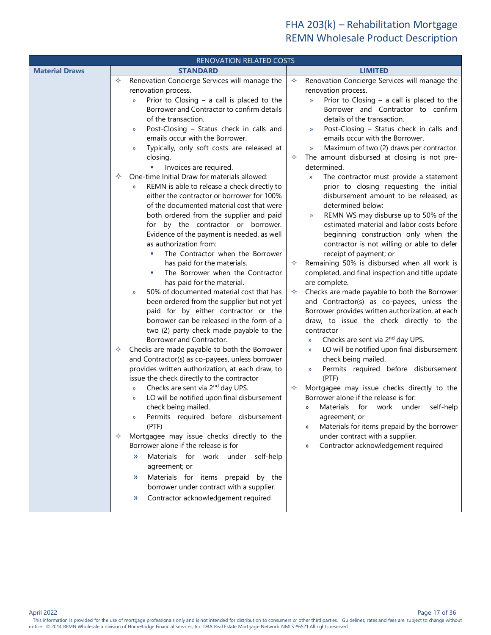<span id="page-16-2"></span><span id="page-16-1"></span><span id="page-16-0"></span>

|                       | RENOVATION RELATED COSTS                                                             |                                                                                                     |  |  |  |  |
|-----------------------|--------------------------------------------------------------------------------------|-----------------------------------------------------------------------------------------------------|--|--|--|--|
| <b>Material Draws</b> | <b>STANDARD</b>                                                                      | <b>LIMITED</b>                                                                                      |  |  |  |  |
|                       | Renovation Concierge Services will manage the<br>✧                                   | Renovation Concierge Services will manage the<br>✧                                                  |  |  |  |  |
|                       | renovation process.                                                                  | renovation process.                                                                                 |  |  |  |  |
|                       | Prior to Closing $-$ a call is placed to the<br>$\mathcal{V}$                        | Prior to Closing $-$ a call is placed to the<br>$\mathcal{V}$                                       |  |  |  |  |
|                       | Borrower and Contractor to confirm details<br>of the transaction.                    | Borrower and Contractor to confirm<br>details of the transaction.                                   |  |  |  |  |
|                       | Post-Closing - Status check in calls and<br>$\rightarrow$                            | Post-Closing - Status check in calls and<br>$\mathcal{V}$                                           |  |  |  |  |
|                       | emails occur with the Borrower.                                                      | emails occur with the Borrower.                                                                     |  |  |  |  |
|                       | Typically, only soft costs are released at<br>$\mathcal{Y}$                          | Maximum of two (2) draws per contractor.<br>$\rightarrow$                                           |  |  |  |  |
|                       | closing.                                                                             | The amount disbursed at closing is not pre-<br>✧                                                    |  |  |  |  |
|                       | Invoices are required.                                                               | determined.                                                                                         |  |  |  |  |
|                       | One-time Initial Draw for materials allowed:<br>✧                                    | The contractor must provide a statement<br>$\mathcal{Y}$                                            |  |  |  |  |
|                       | REMN is able to release a check directly to<br>$\mathcal{V}$                         | prior to closing requesting the initial                                                             |  |  |  |  |
|                       | either the contractor or borrower for 100%                                           | disbursement amount to be released, as                                                              |  |  |  |  |
|                       | of the documented material cost that were                                            | determined below:                                                                                   |  |  |  |  |
|                       | both ordered from the supplier and paid                                              | REMN WS may disburse up to 50% of the<br>$\mathcal{Y}$<br>estimated material and labor costs before |  |  |  |  |
|                       | for by the contractor or borrower.<br>Evidence of the payment is needed, as well     | beginning construction only when the                                                                |  |  |  |  |
|                       | as authorization from:                                                               | contractor is not willing or able to defer                                                          |  |  |  |  |
|                       | The Contractor when the Borrower                                                     | receipt of payment; or                                                                              |  |  |  |  |
|                       | has paid for the materials.                                                          | Remaining 50% is disbursed when all work is<br>✧                                                    |  |  |  |  |
|                       | The Borrower when the Contractor                                                     | completed, and final inspection and title update                                                    |  |  |  |  |
|                       | has paid for the material.                                                           | are complete.                                                                                       |  |  |  |  |
|                       | 50% of documented material cost that has<br>$\mathcal{Y}$                            | ✧<br>Checks are made payable to both the Borrower                                                   |  |  |  |  |
|                       | been ordered from the supplier but not yet                                           | and Contractor(s) as co-payees, unless the                                                          |  |  |  |  |
|                       | paid for by either contractor or the                                                 | Borrower provides written authorization, at each                                                    |  |  |  |  |
|                       | borrower can be released in the form of a<br>two (2) party check made payable to the | draw, to issue the check directly to the<br>contractor                                              |  |  |  |  |
|                       | Borrower and Contractor.                                                             | Checks are sent via 2 <sup>nd</sup> day UPS.<br>$\rightarrow$                                       |  |  |  |  |
|                       | Checks are made payable to both the Borrower<br>✧                                    | LO will be notified upon final disbursement<br>$\rangle$                                            |  |  |  |  |
|                       | and Contractor(s) as co-payees, unless borrower                                      | check being mailed.                                                                                 |  |  |  |  |
|                       | provides written authorization, at each draw, to                                     | Permits required before disbursement<br>$\mathcal{Y}$                                               |  |  |  |  |
|                       | issue the check directly to the contractor                                           | (PTF)                                                                                               |  |  |  |  |
|                       | Checks are sent via 2 <sup>nd</sup> day UPS.<br>$\mathcal{Y}$                        | Mortgagee may issue checks directly to the<br>✧                                                     |  |  |  |  |
|                       | LO will be notified upon final disbursement<br>$\mathcal{Y}$                         | Borrower alone if the release is for:                                                               |  |  |  |  |
|                       | check being mailed.                                                                  | Materials for work under<br>self-help<br>»                                                          |  |  |  |  |
|                       | Permits required before disbursement<br>(PTF)                                        | agreement; or<br>Materials for items prepaid by the borrower<br>»                                   |  |  |  |  |
|                       | Mortgagee may issue checks directly to the<br>✧                                      | under contract with a supplier.                                                                     |  |  |  |  |
|                       | Borrower alone if the release is for                                                 | Contractor acknowledgement required<br>>>                                                           |  |  |  |  |
|                       | Materials for work under<br>self-help<br>$\mathcal{Y}$                               |                                                                                                     |  |  |  |  |
|                       | agreement; or                                                                        |                                                                                                     |  |  |  |  |
|                       | Materials for items prepaid by the<br>$\rangle$                                      |                                                                                                     |  |  |  |  |
|                       | borrower under contract with a supplier.                                             |                                                                                                     |  |  |  |  |
|                       | Contractor acknowledgement required<br>»                                             |                                                                                                     |  |  |  |  |
|                       |                                                                                      |                                                                                                     |  |  |  |  |

Page 17 of 36<br>This information is provided for the use of mortgage professionals only and is not intended for distribution to consumers or other third parties. Guidelines, rates and fees are subject to change without notice. © 2014 REMN Wholesale a division of HomeBridge Financial Services, Inc. DBA Real Estate Mortgage Network. NMLS #6521 All rights reserved.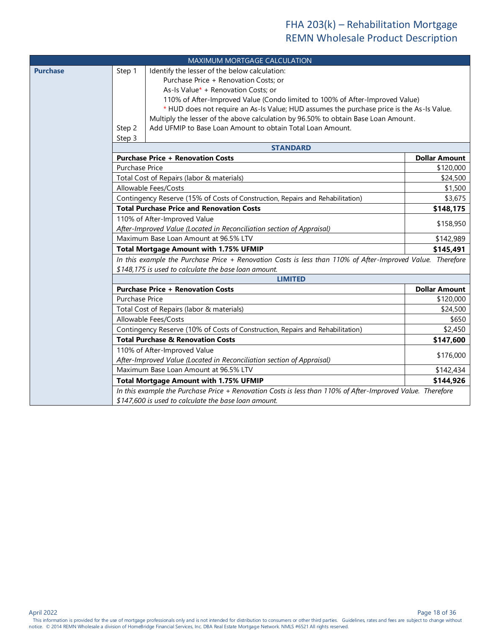<span id="page-17-2"></span><span id="page-17-1"></span><span id="page-17-0"></span>

|                 |                                                      | MAXIMUM MORTGAGE CALCULATION                                                                               |                      |  |
|-----------------|------------------------------------------------------|------------------------------------------------------------------------------------------------------------|----------------------|--|
| <b>Purchase</b> | Step 1                                               | Identify the lesser of the below calculation:                                                              |                      |  |
|                 |                                                      | Purchase Price + Renovation Costs; or                                                                      |                      |  |
|                 |                                                      | As-Is Value* + Renovation Costs; or                                                                        |                      |  |
|                 |                                                      | 110% of After-Improved Value (Condo limited to 100% of After-Improved Value)                               |                      |  |
|                 |                                                      | * HUD does not require an As-Is Value; HUD assumes the purchase price is the As-Is Value.                  |                      |  |
|                 |                                                      | Multiply the lesser of the above calculation by 96.50% to obtain Base Loan Amount.                         |                      |  |
|                 | Step 2                                               | Add UFMIP to Base Loan Amount to obtain Total Loan Amount.                                                 |                      |  |
|                 | Step 3                                               |                                                                                                            |                      |  |
|                 |                                                      | <b>STANDARD</b>                                                                                            |                      |  |
|                 |                                                      | <b>Purchase Price + Renovation Costs</b>                                                                   | <b>Dollar Amount</b> |  |
|                 | <b>Purchase Price</b>                                |                                                                                                            | \$120,000            |  |
|                 |                                                      | Total Cost of Repairs (labor & materials)                                                                  | \$24,500             |  |
|                 |                                                      | Allowable Fees/Costs                                                                                       | \$1,500              |  |
|                 |                                                      | Contingency Reserve (15% of Costs of Construction, Repairs and Rehabilitation)                             | \$3,675              |  |
|                 |                                                      | <b>Total Purchase Price and Renovation Costs</b>                                                           | \$148,175            |  |
|                 |                                                      | 110% of After-Improved Value                                                                               | \$158,950            |  |
|                 |                                                      | After-Improved Value (Located in Reconciliation section of Appraisal)                                      |                      |  |
|                 |                                                      | Maximum Base Loan Amount at 96.5% LTV                                                                      | \$142,989            |  |
|                 |                                                      | <b>Total Mortgage Amount with 1.75% UFMIP</b>                                                              | \$145,491            |  |
|                 |                                                      | In this example the Purchase Price + Renovation Costs is less than 110% of After-Improved Value. Therefore |                      |  |
|                 | \$148,175 is used to calculate the base loan amount. |                                                                                                            |                      |  |
|                 |                                                      | <b>LIMITED</b>                                                                                             |                      |  |
|                 |                                                      | <b>Purchase Price + Renovation Costs</b>                                                                   | <b>Dollar Amount</b> |  |
|                 | <b>Purchase Price</b>                                |                                                                                                            | \$120,000            |  |
|                 |                                                      | Total Cost of Repairs (labor & materials)                                                                  | \$24,500             |  |
|                 |                                                      | Allowable Fees/Costs                                                                                       | \$650                |  |
|                 |                                                      | Contingency Reserve (10% of Costs of Construction, Repairs and Rehabilitation)                             | \$2,450              |  |
|                 |                                                      | <b>Total Purchase &amp; Renovation Costs</b>                                                               | \$147,600            |  |
|                 |                                                      | 110% of After-Improved Value                                                                               | \$176,000            |  |
|                 |                                                      | After-Improved Value (Located in Reconciliation section of Appraisal)                                      |                      |  |
|                 |                                                      | Maximum Base Loan Amount at 96.5% LTV                                                                      | \$142,434            |  |
|                 |                                                      | <b>Total Mortgage Amount with 1.75% UFMIP</b>                                                              | \$144,926            |  |
|                 |                                                      | In this example the Purchase Price + Renovation Costs is less than 110% of After-Improved Value. Therefore |                      |  |
|                 |                                                      | \$147,600 is used to calculate the base loan amount.                                                       |                      |  |

April 2022 Page 18 of 36

Page 18 of 36<br>This information is provided for the use of mortgage professionals only and is not intended for distribution to consumers or other third parties. Guidelines, rates and fees are subject to change without notice. © 2014 REMN Wholesale a division of HomeBridge Financial Services, Inc. DBA Real Estate Mortgage Network. NMLS #6521 All rights reserved.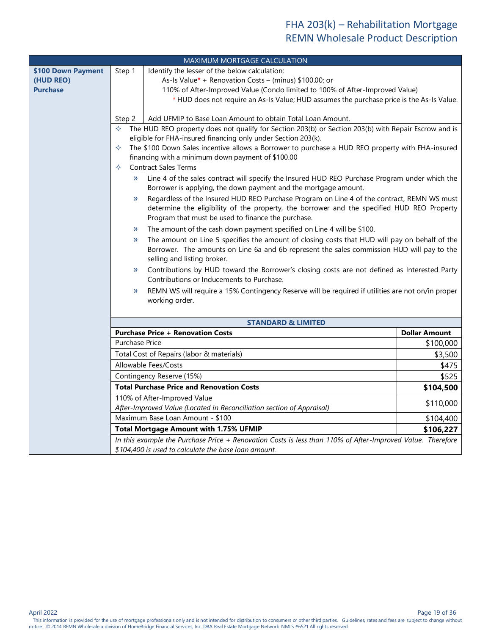<span id="page-18-2"></span><span id="page-18-1"></span><span id="page-18-0"></span>

|                                                    |                                                                                                                                                                                                                                                                                                                                                                                                                                                                                                                                                                                                                                                                                                                                                                                                                                                                                                                                                                                                                                                                                                                                                                                                                                                                                                                                                                                                                                                                                                                                                                                                                                                                                                                                                                                                           | MAXIMUM MORTGAGE CALCULATION                                                                                                                                       |                      |  |
|----------------------------------------------------|-----------------------------------------------------------------------------------------------------------------------------------------------------------------------------------------------------------------------------------------------------------------------------------------------------------------------------------------------------------------------------------------------------------------------------------------------------------------------------------------------------------------------------------------------------------------------------------------------------------------------------------------------------------------------------------------------------------------------------------------------------------------------------------------------------------------------------------------------------------------------------------------------------------------------------------------------------------------------------------------------------------------------------------------------------------------------------------------------------------------------------------------------------------------------------------------------------------------------------------------------------------------------------------------------------------------------------------------------------------------------------------------------------------------------------------------------------------------------------------------------------------------------------------------------------------------------------------------------------------------------------------------------------------------------------------------------------------------------------------------------------------------------------------------------------------|--------------------------------------------------------------------------------------------------------------------------------------------------------------------|----------------------|--|
| \$100 Down Payment<br>(HUD REO)<br><b>Purchase</b> | Identify the lesser of the below calculation:<br>Step 1<br>As-Is Value* + Renovation Costs - (minus) \$100.00; or<br>110% of After-Improved Value (Condo limited to 100% of After-Improved Value)<br>* HUD does not require an As-Is Value; HUD assumes the purchase price is the As-Is Value.<br>Add UFMIP to Base Loan Amount to obtain Total Loan Amount.<br>Step 2<br>The HUD REO property does not qualify for Section 203(b) or Section 203(b) with Repair Escrow and is<br>✧<br>eligible for FHA-insured financing only under Section 203(k).<br>The \$100 Down Sales incentive allows a Borrower to purchase a HUD REO property with FHA-insured<br>✧<br>financing with a minimum down payment of \$100.00<br><b>Contract Sales Terms</b><br>✧<br>Line 4 of the sales contract will specify the Insured HUD REO Purchase Program under which the<br>$\mathcal{D}$<br>Borrower is applying, the down payment and the mortgage amount.<br>Regardless of the Insured HUD REO Purchase Program on Line 4 of the contract, REMN WS must<br>»<br>determine the eligibility of the property, the borrower and the specified HUD REO Property<br>Program that must be used to finance the purchase.<br>The amount of the cash down payment specified on Line 4 will be \$100.<br>»<br>The amount on Line 5 specifies the amount of closing costs that HUD will pay on behalf of the<br>»<br>Borrower. The amounts on Line 6a and 6b represent the sales commission HUD will pay to the<br>selling and listing broker.<br>Contributions by HUD toward the Borrower's closing costs are not defined as Interested Party<br>$\mathcal{Y}$<br>Contributions or Inducements to Purchase.<br>REMN WS will require a 15% Contingency Reserve will be required if utilities are not on/in proper<br>$\mathcal{Y}$ |                                                                                                                                                                    |                      |  |
|                                                    |                                                                                                                                                                                                                                                                                                                                                                                                                                                                                                                                                                                                                                                                                                                                                                                                                                                                                                                                                                                                                                                                                                                                                                                                                                                                                                                                                                                                                                                                                                                                                                                                                                                                                                                                                                                                           |                                                                                                                                                                    |                      |  |
|                                                    |                                                                                                                                                                                                                                                                                                                                                                                                                                                                                                                                                                                                                                                                                                                                                                                                                                                                                                                                                                                                                                                                                                                                                                                                                                                                                                                                                                                                                                                                                                                                                                                                                                                                                                                                                                                                           | <b>STANDARD &amp; LIMITED</b>                                                                                                                                      |                      |  |
|                                                    |                                                                                                                                                                                                                                                                                                                                                                                                                                                                                                                                                                                                                                                                                                                                                                                                                                                                                                                                                                                                                                                                                                                                                                                                                                                                                                                                                                                                                                                                                                                                                                                                                                                                                                                                                                                                           | <b>Purchase Price + Renovation Costs</b>                                                                                                                           | <b>Dollar Amount</b> |  |
|                                                    | <b>Purchase Price</b>                                                                                                                                                                                                                                                                                                                                                                                                                                                                                                                                                                                                                                                                                                                                                                                                                                                                                                                                                                                                                                                                                                                                                                                                                                                                                                                                                                                                                                                                                                                                                                                                                                                                                                                                                                                     |                                                                                                                                                                    | \$100,000            |  |
|                                                    | Total Cost of Repairs (labor & materials)                                                                                                                                                                                                                                                                                                                                                                                                                                                                                                                                                                                                                                                                                                                                                                                                                                                                                                                                                                                                                                                                                                                                                                                                                                                                                                                                                                                                                                                                                                                                                                                                                                                                                                                                                                 | \$3,500                                                                                                                                                            |                      |  |
|                                                    | Allowable Fees/Costs                                                                                                                                                                                                                                                                                                                                                                                                                                                                                                                                                                                                                                                                                                                                                                                                                                                                                                                                                                                                                                                                                                                                                                                                                                                                                                                                                                                                                                                                                                                                                                                                                                                                                                                                                                                      | \$475                                                                                                                                                              |                      |  |
|                                                    |                                                                                                                                                                                                                                                                                                                                                                                                                                                                                                                                                                                                                                                                                                                                                                                                                                                                                                                                                                                                                                                                                                                                                                                                                                                                                                                                                                                                                                                                                                                                                                                                                                                                                                                                                                                                           | Contingency Reserve (15%)                                                                                                                                          |                      |  |
|                                                    |                                                                                                                                                                                                                                                                                                                                                                                                                                                                                                                                                                                                                                                                                                                                                                                                                                                                                                                                                                                                                                                                                                                                                                                                                                                                                                                                                                                                                                                                                                                                                                                                                                                                                                                                                                                                           | <b>Total Purchase Price and Renovation Costs</b>                                                                                                                   | \$104,500            |  |
|                                                    | 110% of After-Improved Value<br>After-Improved Value (Located in Reconciliation section of Appraisal)                                                                                                                                                                                                                                                                                                                                                                                                                                                                                                                                                                                                                                                                                                                                                                                                                                                                                                                                                                                                                                                                                                                                                                                                                                                                                                                                                                                                                                                                                                                                                                                                                                                                                                     |                                                                                                                                                                    | \$110,000            |  |
|                                                    | Maximum Base Loan Amount - \$100<br>\$104,400                                                                                                                                                                                                                                                                                                                                                                                                                                                                                                                                                                                                                                                                                                                                                                                                                                                                                                                                                                                                                                                                                                                                                                                                                                                                                                                                                                                                                                                                                                                                                                                                                                                                                                                                                             |                                                                                                                                                                    |                      |  |
|                                                    | <b>Total Mortgage Amount with 1.75% UFMIP</b><br>\$106,227                                                                                                                                                                                                                                                                                                                                                                                                                                                                                                                                                                                                                                                                                                                                                                                                                                                                                                                                                                                                                                                                                                                                                                                                                                                                                                                                                                                                                                                                                                                                                                                                                                                                                                                                                |                                                                                                                                                                    |                      |  |
|                                                    |                                                                                                                                                                                                                                                                                                                                                                                                                                                                                                                                                                                                                                                                                                                                                                                                                                                                                                                                                                                                                                                                                                                                                                                                                                                                                                                                                                                                                                                                                                                                                                                                                                                                                                                                                                                                           | In this example the Purchase Price + Renovation Costs is less than 110% of After-Improved Value. Therefore<br>\$104,400 is used to calculate the base loan amount. |                      |  |

Page 19 of 36<br>This information is provided for the use of mortgage professionals only and is not intended for distribution to consumers or other third parties. Guidelines, rates and fees are subject to change without notice. © 2014 REMN Wholesale a division of HomeBridge Financial Services, Inc. DBA Real Estate Mortgage Network. NMLS #6521 All rights reserved.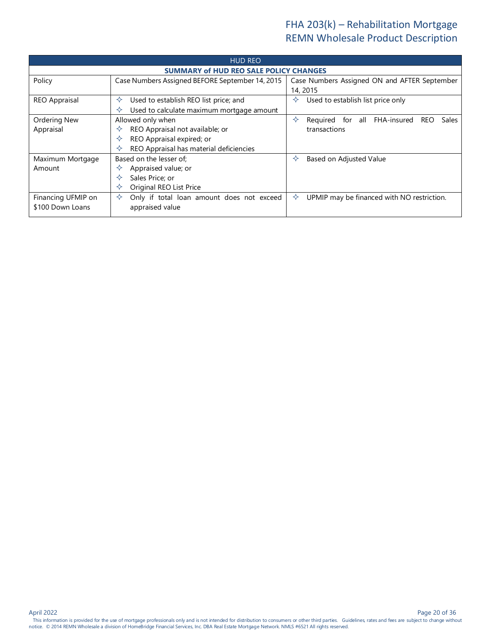<span id="page-19-0"></span>

| <b>HUD REO</b>       |                                                 |                                                          |  |  |  |
|----------------------|-------------------------------------------------|----------------------------------------------------------|--|--|--|
|                      | <b>SUMMARY of HUD REO SALE POLICY CHANGES</b>   |                                                          |  |  |  |
| Policy               | Case Numbers Assigned BEFORE September 14, 2015 | Case Numbers Assigned ON and AFTER September             |  |  |  |
|                      |                                                 | 14, 2015                                                 |  |  |  |
| <b>REO Appraisal</b> | Used to establish REO list price; and<br>✧      | Used to establish list price only<br>✧                   |  |  |  |
|                      | Used to calculate maximum mortgage amount<br>✧  |                                                          |  |  |  |
| Ordering New         | Allowed only when                               | Required for all FHA-insured<br><b>REO</b><br>Sales<br>✧ |  |  |  |
| Appraisal            | REO Appraisal not available; or<br>✧            | transactions                                             |  |  |  |
|                      | REO Appraisal expired; or<br>✧                  |                                                          |  |  |  |
|                      | REO Appraisal has material deficiencies         |                                                          |  |  |  |
| Maximum Mortgage     | Based on the lesser of:                         | Based on Adjusted Value<br>✧                             |  |  |  |
| Amount               | Appraised value; or<br>✧                        |                                                          |  |  |  |
|                      | Sales Price: or                                 |                                                          |  |  |  |
|                      | Original REO List Price                         |                                                          |  |  |  |
| Financing UFMIP on   | Only if total loan amount does not exceed<br>✧  | ✧<br>UPMIP may be financed with NO restriction.          |  |  |  |
| \$100 Down Loans     | appraised value                                 |                                                          |  |  |  |
|                      |                                                 |                                                          |  |  |  |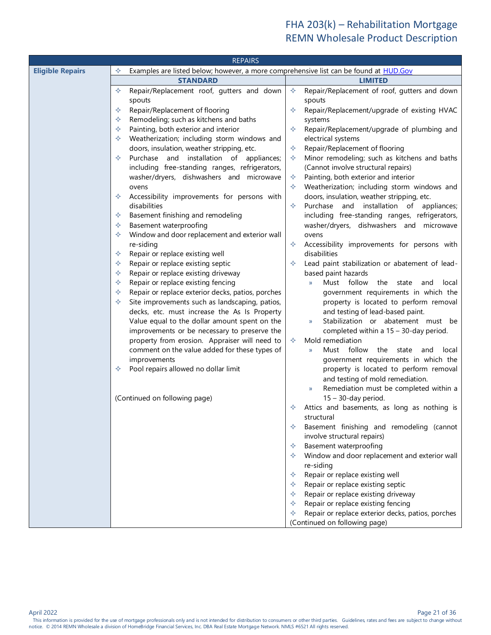<span id="page-20-2"></span><span id="page-20-1"></span><span id="page-20-0"></span>

| <b>REPAIRS</b>          |                                                                                                   |                                                                                                      |  |  |  |
|-------------------------|---------------------------------------------------------------------------------------------------|------------------------------------------------------------------------------------------------------|--|--|--|
| <b>Eligible Repairs</b> | ✧<br>Examples are listed below; however, a more comprehensive list can be found at <b>HUD.Gov</b> |                                                                                                      |  |  |  |
|                         | <b>STANDARD</b>                                                                                   | <b>LIMITED</b>                                                                                       |  |  |  |
|                         | Repair/Replacement roof, gutters and down<br>✧                                                    | Repair/Replacement of roof, gutters and down<br>✧                                                    |  |  |  |
|                         | spouts                                                                                            | spouts                                                                                               |  |  |  |
|                         | Repair/Replacement of flooring<br>✧                                                               | Repair/Replacement/upgrade of existing HVAC<br>✧                                                     |  |  |  |
|                         | Remodeling; such as kitchens and baths<br>✧                                                       | systems                                                                                              |  |  |  |
|                         | Painting, both exterior and interior<br>✧                                                         | Repair/Replacement/upgrade of plumbing and<br>✧                                                      |  |  |  |
|                         | Weatherization; including storm windows and<br>✧                                                  | electrical systems                                                                                   |  |  |  |
|                         | doors, insulation, weather stripping, etc.                                                        | Repair/Replacement of flooring<br>✧                                                                  |  |  |  |
|                         | Purchase and installation of appliances;<br>✧                                                     | Minor remodeling; such as kitchens and baths<br>✧                                                    |  |  |  |
|                         | including free-standing ranges, refrigerators,                                                    | (Cannot involve structural repairs)                                                                  |  |  |  |
|                         | washer/dryers, dishwashers and microwave                                                          | Painting, both exterior and interior<br>✧                                                            |  |  |  |
|                         | ovens                                                                                             | Weatherization; including storm windows and<br>✧                                                     |  |  |  |
|                         | Accessibility improvements for persons with<br>✧<br>disabilities                                  | doors, insulation, weather stripping, etc.<br>Purchase<br>and installation of appliances;<br>✧       |  |  |  |
|                         | Basement finishing and remodeling<br>✧                                                            | including free-standing ranges, refrigerators,                                                       |  |  |  |
|                         | Basement waterproofing<br>✧                                                                       | washer/dryers, dishwashers and microwave                                                             |  |  |  |
|                         | Window and door replacement and exterior wall<br>✧                                                | ovens                                                                                                |  |  |  |
|                         | re-siding                                                                                         | Accessibility improvements for persons with<br>✧                                                     |  |  |  |
|                         | Repair or replace existing well<br>✧                                                              | disabilities                                                                                         |  |  |  |
|                         | Repair or replace existing septic<br>✧                                                            | Lead paint stabilization or abatement of lead-<br>✧                                                  |  |  |  |
|                         | Repair or replace existing driveway<br>✧                                                          | based paint hazards                                                                                  |  |  |  |
|                         | Repair or replace existing fencing<br>✧                                                           | Must follow<br>the<br>$\mathcal{Y}$<br>state<br>and<br>local                                         |  |  |  |
|                         | Repair or replace exterior decks, patios, porches<br>✧                                            | government requirements in which the                                                                 |  |  |  |
|                         | Site improvements such as landscaping, patios,<br>✧                                               | property is located to perform removal                                                               |  |  |  |
|                         | decks, etc. must increase the As Is Property                                                      | and testing of lead-based paint.                                                                     |  |  |  |
|                         | Value equal to the dollar amount spent on the                                                     | Stabilization or abatement must be<br>$\mathcal{Y}$                                                  |  |  |  |
|                         | improvements or be necessary to preserve the                                                      | completed within a 15 - 30-day period.                                                               |  |  |  |
|                         | property from erosion. Appraiser will need to                                                     | Mold remediation<br>✧                                                                                |  |  |  |
|                         | comment on the value added for these types of<br>improvements                                     | Must follow<br>the<br>state<br>local<br>and<br>$\mathcal{Y}$<br>government requirements in which the |  |  |  |
|                         | Pool repairs allowed no dollar limit<br>✧                                                         | property is located to perform removal                                                               |  |  |  |
|                         |                                                                                                   | and testing of mold remediation.                                                                     |  |  |  |
|                         |                                                                                                   | Remediation must be completed within a<br>$\mathcal{Y}$                                              |  |  |  |
|                         | (Continued on following page)                                                                     | $15 - 30$ -day period.                                                                               |  |  |  |
|                         |                                                                                                   | Attics and basements, as long as nothing is<br>✧                                                     |  |  |  |
|                         |                                                                                                   | structural                                                                                           |  |  |  |
|                         |                                                                                                   | Basement finishing and remodeling (cannot<br>✧                                                       |  |  |  |
|                         |                                                                                                   | involve structural repairs)                                                                          |  |  |  |
|                         |                                                                                                   | Basement waterproofing<br>✧                                                                          |  |  |  |
|                         |                                                                                                   | Window and door replacement and exterior wall<br>✧                                                   |  |  |  |
|                         |                                                                                                   | re-siding                                                                                            |  |  |  |
|                         |                                                                                                   | Repair or replace existing well<br>✧                                                                 |  |  |  |
|                         |                                                                                                   | Repair or replace existing septic<br>✧                                                               |  |  |  |
|                         |                                                                                                   | Repair or replace existing driveway<br>✧                                                             |  |  |  |
|                         |                                                                                                   | Repair or replace existing fencing<br>✧<br>Repair or replace exterior decks, patios, porches<br>✧    |  |  |  |
|                         |                                                                                                   | (Continued on following page)                                                                        |  |  |  |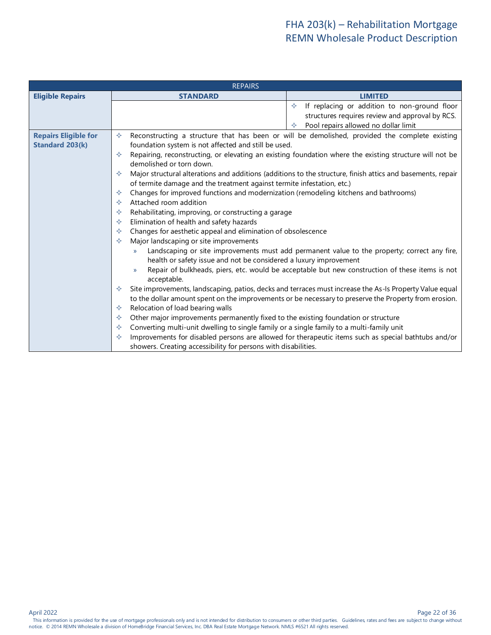<span id="page-21-2"></span><span id="page-21-1"></span><span id="page-21-0"></span>

|                             | <b>REPAIRS</b>                                                                                 |                                                                                                             |  |  |
|-----------------------------|------------------------------------------------------------------------------------------------|-------------------------------------------------------------------------------------------------------------|--|--|
| <b>Eligible Repairs</b>     | <b>STANDARD</b>                                                                                | <b>LIMITED</b>                                                                                              |  |  |
|                             |                                                                                                | If replacing or addition to non-ground floor<br>♦                                                           |  |  |
|                             |                                                                                                | structures requires review and approval by RCS.                                                             |  |  |
|                             |                                                                                                | Pool repairs allowed no dollar limit                                                                        |  |  |
| <b>Repairs Eligible for</b> | ✧                                                                                              | Reconstructing a structure that has been or will be demolished, provided the complete existing              |  |  |
| <b>Standard 203(k)</b>      | foundation system is not affected and still be used.                                           |                                                                                                             |  |  |
|                             | ✧<br>demolished or torn down.                                                                  | Repairing, reconstructing, or elevating an existing foundation where the existing structure will not be     |  |  |
|                             | ✧                                                                                              | Major structural alterations and additions (additions to the structure, finish attics and basements, repair |  |  |
|                             | of termite damage and the treatment against termite infestation, etc.)                         |                                                                                                             |  |  |
|                             | Changes for improved functions and modernization (remodeling kitchens and bathrooms)<br>✧      |                                                                                                             |  |  |
|                             | ✧                                                                                              | Attached room addition                                                                                      |  |  |
|                             | Rehabilitating, improving, or constructing a garage<br>✧                                       |                                                                                                             |  |  |
|                             | Elimination of health and safety hazards<br>✧                                                  |                                                                                                             |  |  |
|                             | Changes for aesthetic appeal and elimination of obsolescence<br>✧                              |                                                                                                             |  |  |
|                             | Major landscaping or site improvements<br>✧                                                    |                                                                                                             |  |  |
|                             | $\mathcal{Y}$<br>health or safety issue and not be considered a luxury improvement             | Landscaping or site improvements must add permanent value to the property; correct any fire,                |  |  |
|                             | $\mathcal{Y}$<br>acceptable.                                                                   | Repair of bulkheads, piers, etc. would be acceptable but new construction of these items is not             |  |  |
|                             | ✧                                                                                              | Site improvements, landscaping, patios, decks and terraces must increase the As-Is Property Value equal     |  |  |
|                             |                                                                                                | to the dollar amount spent on the improvements or be necessary to preserve the Property from erosion.       |  |  |
|                             | Relocation of load bearing walls<br>✧                                                          |                                                                                                             |  |  |
|                             | Other major improvements permanently fixed to the existing foundation or structure<br>✧        |                                                                                                             |  |  |
|                             | Converting multi-unit dwelling to single family or a single family to a multi-family unit<br>✧ |                                                                                                             |  |  |
|                             | ✧                                                                                              | Improvements for disabled persons are allowed for therapeutic items such as special bathtubs and/or         |  |  |
|                             | showers. Creating accessibility for persons with disabilities.                                 |                                                                                                             |  |  |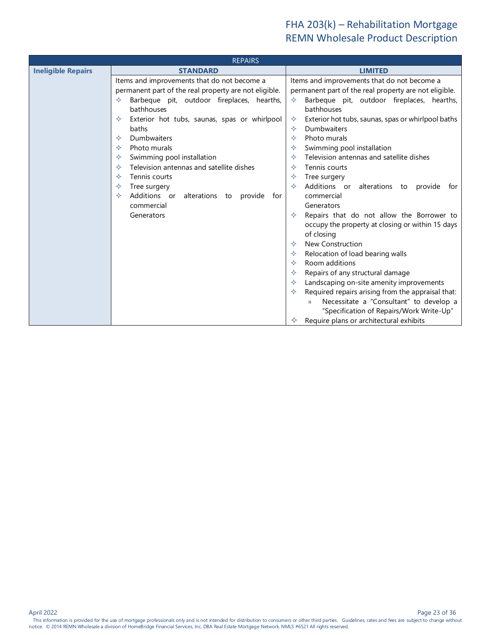<span id="page-22-2"></span><span id="page-22-1"></span><span id="page-22-0"></span>

|                           | <b>REPAIRS</b>                                        |                                                          |
|---------------------------|-------------------------------------------------------|----------------------------------------------------------|
| <b>Ineligible Repairs</b> | <b>STANDARD</b>                                       | <b>LIMITED</b>                                           |
|                           | Items and improvements that do not become a           | Items and improvements that do not become a              |
|                           | permanent part of the real property are not eligible. | permanent part of the real property are not eligible.    |
|                           | Barbeque pit, outdoor fireplaces, hearths,<br>✧       | Barbeque pit, outdoor fireplaces, hearths,<br>✧          |
|                           | bathhouses                                            | bathhouses                                               |
|                           | Exterior hot tubs, saunas, spas or whirlpool<br>✧     | Exterior hot tubs, saunas, spas or whirlpool baths<br>✧  |
|                           | baths                                                 | Dumbwaiters<br>✧                                         |
|                           | Dumbwaiters<br>✧                                      | Photo murals                                             |
|                           | Photo murals<br>✧                                     | Swimming pool installation                               |
|                           | Swimming pool installation<br>✧                       | Television antennas and satellite dishes<br>✧            |
|                           | Television antennas and satellite dishes<br>✧         | Tennis courts                                            |
|                           | Tennis courts<br>✧                                    | Tree surgery                                             |
|                           | Tree surgery<br>✧                                     | Additions or<br>alterations<br>✧<br>provide<br>to<br>for |
|                           | Additions or<br>alterations to provide<br>✧<br>for    | commercial                                               |
|                           | commercial                                            | Generators                                               |
|                           | Generators                                            | Repairs that do not allow the Borrower to                |
|                           |                                                       | occupy the property at closing or within 15 days         |
|                           |                                                       | of closing<br><b>New Construction</b><br>✧               |
|                           |                                                       | Relocation of load bearing walls                         |
|                           |                                                       | Room additions<br>✧                                      |
|                           |                                                       | Repairs of any structural damage                         |
|                           |                                                       | Landscaping on-site amenity improvements                 |
|                           |                                                       | Required repairs arising from the appraisal that:        |
|                           |                                                       | Necessitate a "Consultant" to develop a<br>$\mathcal{V}$ |
|                           |                                                       | "Specification of Repairs/Work Write-Up"                 |
|                           |                                                       | Require plans or architectural exhibits<br>✧             |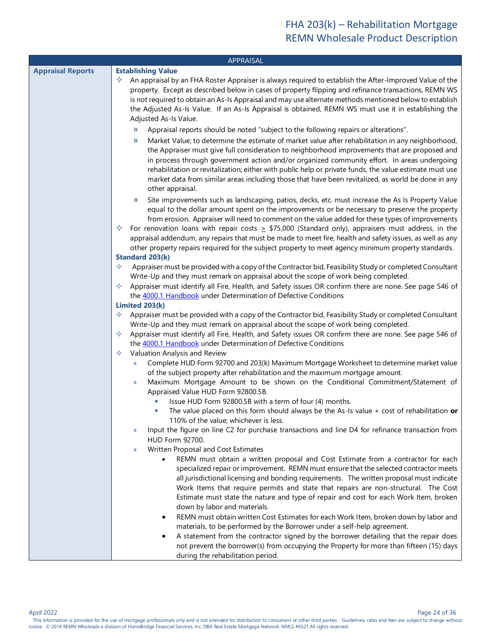<span id="page-23-3"></span><span id="page-23-2"></span><span id="page-23-1"></span><span id="page-23-0"></span>

|                          | APPRAISAL                                                                                                                                                                                                                                                                                                                                                                                                                                                                                                                                                                                                                                                               |
|--------------------------|-------------------------------------------------------------------------------------------------------------------------------------------------------------------------------------------------------------------------------------------------------------------------------------------------------------------------------------------------------------------------------------------------------------------------------------------------------------------------------------------------------------------------------------------------------------------------------------------------------------------------------------------------------------------------|
| <b>Appraisal Reports</b> | <b>Establishing Value</b><br>An appraisal by an FHA Roster Appraiser is always required to establish the After-Improved Value of the<br>✧<br>property. Except as described below in cases of property flipping and refinance transactions, REMN WS<br>is not required to obtain an As-Is Appraisal and may use alternate methods mentioned below to establish<br>the Adjusted As-Is Value. If an As-Is Appraisal is obtained, REMN WS must use it in establishing the<br>Adjusted As-Is Value.<br>Appraisal reports should be noted "subject to the following repairs or alterations".<br>$\rightarrow$                                                                 |
|                          | Market Value; to determine the estimate of market value after rehabilitation in any neighborhood,<br>»<br>the Appraiser must give full consideration to neighborhood improvements that are proposed and<br>in process through government action and/or organized community effort. In areas undergoing<br>rehabilitation or revitalization; either with public help or private funds, the value estimate must use<br>market data from similar areas including those that have been revitalized, as world be done in any<br>other appraisal.                                                                                                                             |
|                          | Site improvements such as landscaping, patios, decks, etc. must increase the As Is Property Value<br>»<br>equal to the dollar amount spent on the improvements or be necessary to preserve the property<br>from erosion. Appraiser will need to comment on the value added for these types of improvements<br>For renovation loans with repair costs $\geq$ \$75,000 (Standard only), appraisers must address, in the<br>✧<br>appraisal addendum, any repairs that must be made to meet fire, health and safety issues, as well as any<br>other property repairs required for the subject property to meet agency minimum property standards.<br><b>Standard 203(k)</b> |
|                          | Appraiser must be provided with a copy of the Contractor bid, Feasibility Study or completed Consultant<br>✧<br>Write-Up and they must remark on appraisal about the scope of work being completed.<br>Appraiser must identify all Fire, Health, and Safety issues OR confirm there are none. See page 546 of<br>✧<br>the 4000.1 Handbook under Determination of Defective Conditions<br>Limited 203(k)                                                                                                                                                                                                                                                                 |
|                          | Appraiser must be provided with a copy of the Contractor bid, Feasibility Study or completed Consultant<br>✧<br>Write-Up and they must remark on appraisal about the scope of work being completed.<br>Appraiser must identify all Fire, Health, and Safety issues OR confirm there are none. See page 546 of<br>✧<br>the 4000.1 Handbook under Determination of Defective Conditions<br>Valuation Analysis and Review<br>✧                                                                                                                                                                                                                                             |
|                          | Complete HUD Form 92700 and 203(k) Maximum Mortgage Worksheet to determine market value<br>$\mathcal{V}$<br>of the subject property after rehabilitation and the maximum mortgage amount.<br>Maximum Mortgage Amount to be shown on the Conditional Commitment/Statement of<br>$\mathcal{Y}$<br>Appraised Value HUD Form 92800.5B.<br>Issue HUD Form 92800.5B with a term of four (4) months.<br>T,                                                                                                                                                                                                                                                                     |
|                          | The value placed on this form should always be the As-Is value $+$ cost of rehabilitation or<br>110% of the value; whichever is less.<br>Input the figure on line C2 for purchase transactions and line D4 for refinance transaction from<br>$\mathcal{V}$<br>HUD Form 92700.                                                                                                                                                                                                                                                                                                                                                                                           |
|                          | Written Proposal and Cost Estimates<br>$\mathcal{Y}$<br>REMN must obtain a written proposal and Cost Estimate from a contractor for each<br>$\bullet$<br>specialized repair or improvement. REMN must ensure that the selected contractor meets<br>all jurisdictional licensing and bonding requirements. The written proposal must indicate<br>Work Items that require permits and state that repairs are non-structural. The Cost<br>Estimate must state the nature and type of repair and cost for each Work Item, broken<br>down by labor and materials.                                                                                                            |
|                          | REMN must obtain written Cost Estimates for each Work Item, broken down by labor and<br>٠<br>materials, to be performed by the Borrower under a self-help agreement.<br>A statement from the contractor signed by the borrower detailing that the repair does<br>٠<br>not prevent the borrower(s) from occupying the Property for more than fifteen (15) days<br>during the rehabilitation period.                                                                                                                                                                                                                                                                      |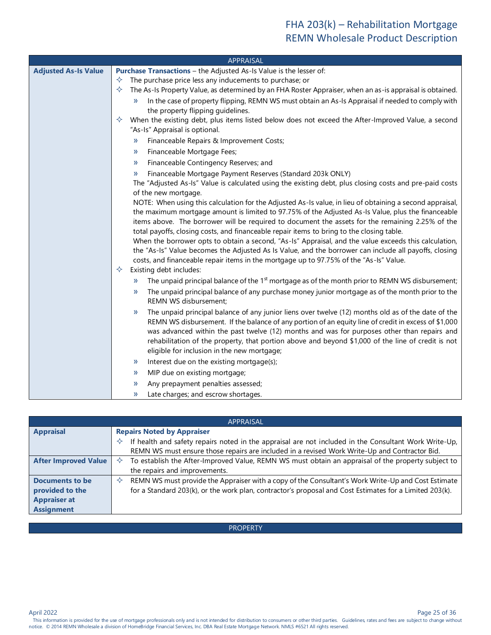<span id="page-24-1"></span><span id="page-24-0"></span>

|                             | <b>APPRAISAL</b>                                                                                                                                                                                   |
|-----------------------------|----------------------------------------------------------------------------------------------------------------------------------------------------------------------------------------------------|
| <b>Adjusted As-Is Value</b> | <b>Purchase Transactions</b> - the Adjusted As-Is Value is the lesser of:                                                                                                                          |
|                             | The purchase price less any inducements to purchase; or<br>✧                                                                                                                                       |
|                             | The As-Is Property Value, as determined by an FHA Roster Appraiser, when an as-is appraisal is obtained.<br>✧                                                                                      |
|                             | In the case of property flipping, REMN WS must obtain an As-Is Appraisal if needed to comply with<br>»<br>the property flipping guidelines.                                                        |
|                             | When the existing debt, plus items listed below does not exceed the After-Improved Value, a second<br>✧<br>"As-Is" Appraisal is optional.                                                          |
|                             | Financeable Repairs & Improvement Costs;<br>»                                                                                                                                                      |
|                             | Financeable Mortgage Fees;<br>$\rightarrow$                                                                                                                                                        |
|                             | Financeable Contingency Reserves; and<br>»                                                                                                                                                         |
|                             | Financeable Mortgage Payment Reserves (Standard 203k ONLY)<br>$\rightarrow$                                                                                                                        |
|                             | The "Adjusted As-Is" Value is calculated using the existing debt, plus closing costs and pre-paid costs                                                                                            |
|                             | of the new mortgage.                                                                                                                                                                               |
|                             | NOTE: When using this calculation for the Adjusted As-Is value, in lieu of obtaining a second appraisal,                                                                                           |
|                             | the maximum mortgage amount is limited to 97.75% of the Adjusted As-Is Value, plus the financeable                                                                                                 |
|                             | items above. The borrower will be required to document the assets for the remaining 2.25% of the                                                                                                   |
|                             | total payoffs, closing costs, and financeable repair items to bring to the closing table.<br>When the borrower opts to obtain a second, "As-Is" Appraisal, and the value exceeds this calculation, |
|                             | the "As-Is" Value becomes the Adjusted As Is Value, and the borrower can include all payoffs, closing                                                                                              |
|                             | costs, and financeable repair items in the mortgage up to 97.75% of the "As-Is" Value.                                                                                                             |
|                             | Existing debt includes:<br>✧                                                                                                                                                                       |
|                             | The unpaid principal balance of the $1st$ mortgage as of the month prior to REMN WS disbursement;<br>$\gg$                                                                                         |
|                             | The unpaid principal balance of any purchase money junior mortgage as of the month prior to the<br>$\rightarrow$                                                                                   |
|                             | REMN WS disbursement;                                                                                                                                                                              |
|                             | The unpaid principal balance of any junior liens over twelve (12) months old as of the date of the<br>$\rightarrow$                                                                                |
|                             | REMN WS disbursement. If the balance of any portion of an equity line of credit in excess of \$1,000                                                                                               |
|                             | was advanced within the past twelve (12) months and was for purposes other than repairs and                                                                                                        |
|                             | rehabilitation of the property, that portion above and beyond \$1,000 of the line of credit is not                                                                                                 |
|                             | eligible for inclusion in the new mortgage;                                                                                                                                                        |
|                             | Interest due on the existing mortgage(s);<br>$\rightarrow$                                                                                                                                         |
|                             | MIP due on existing mortgage;<br>$\rightarrow$                                                                                                                                                     |
|                             | Any prepayment penalties assessed;<br>»                                                                                                                                                            |
|                             | Late charges; and escrow shortages.<br>))                                                                                                                                                          |

<span id="page-24-4"></span><span id="page-24-3"></span><span id="page-24-2"></span>

| APPRAISAL                                                                      |                                                                                                                                                                                                                                                  |  |
|--------------------------------------------------------------------------------|--------------------------------------------------------------------------------------------------------------------------------------------------------------------------------------------------------------------------------------------------|--|
| <b>Appraisal</b>                                                               | <b>Repairs Noted by Appraiser</b><br>If health and safety repairs noted in the appraisal are not included in the Consultant Work Write-Up,<br>✧<br>REMN WS must ensure those repairs are included in a revised Work Write-Up and Contractor Bid. |  |
| <b>After Improved Value</b>                                                    | To establish the After-Improved Value, REMN WS must obtain an appraisal of the property subject to<br>the repairs and improvements.                                                                                                              |  |
| Documents to be<br>provided to the<br><b>Appraiser at</b><br><b>Assignment</b> | REMN WS must provide the Appraiser with a copy of the Consultant's Work Write-Up and Cost Estimate<br>✧<br>for a Standard 203(k), or the work plan, contractor's proposal and Cost Estimates for a Limited 203(k).                               |  |

#### PROPERTY

Page 25 of 36<br>This information is provided for the use of mortgage professionals only and is not intended for distribution to consumers or other third parties. Guidelines, rates and fees are subject to change without notice. © 2014 REMN Wholesale a division of HomeBridge Financial Services, Inc. DBA Real Estate Mortgage Network. NMLS #6521 All rights reserved.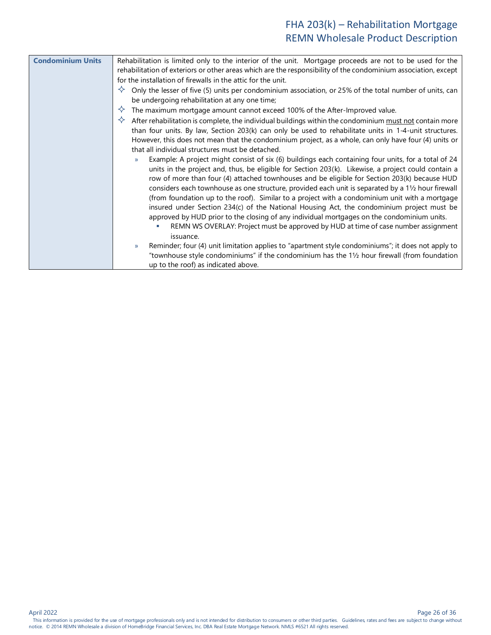<span id="page-25-0"></span>

| <b>Condominium Units</b> | Rehabilitation is limited only to the interior of the unit. Mortgage proceeds are not to be used for the             |  |  |
|--------------------------|----------------------------------------------------------------------------------------------------------------------|--|--|
|                          | rehabilitation of exteriors or other areas which are the responsibility of the condominium association, except       |  |  |
|                          | for the installation of firewalls in the attic for the unit.                                                         |  |  |
|                          | Only the lesser of five (5) units per condominium association, or 25% of the total number of units, can<br>✧         |  |  |
|                          | be undergoing rehabilitation at any one time;                                                                        |  |  |
|                          | The maximum mortgage amount cannot exceed 100% of the After-Improved value.                                          |  |  |
|                          | After rehabilitation is complete, the individual buildings within the condominium must not contain more              |  |  |
|                          | than four units. By law, Section 203(k) can only be used to rehabilitate units in 1-4-unit structures.               |  |  |
|                          | However, this does not mean that the condominium project, as a whole, can only have four (4) units or                |  |  |
|                          | that all individual structures must be detached.                                                                     |  |  |
|                          | Example: A project might consist of six (6) buildings each containing four units, for a total of 24<br>$\mathcal{V}$ |  |  |
|                          | units in the project and, thus, be eligible for Section 203(k). Likewise, a project could contain a                  |  |  |
|                          | row of more than four (4) attached townhouses and be eligible for Section 203(k) because HUD                         |  |  |
|                          | considers each townhouse as one structure, provided each unit is separated by a 11/2 hour firewall                   |  |  |
|                          | (from foundation up to the roof). Similar to a project with a condominium unit with a mortgage                       |  |  |
|                          | insured under Section 234(c) of the National Housing Act, the condominium project must be                            |  |  |
|                          | approved by HUD prior to the closing of any individual mortgages on the condominium units.                           |  |  |
|                          | REMN WS OVERLAY: Project must be approved by HUD at time of case number assignment<br>issuance.                      |  |  |
|                          | Reminder; four (4) unit limitation applies to "apartment style condominiums"; it does not apply to<br>y)             |  |  |
|                          | "townhouse style condominiums" if the condominium has the 11/2 hour firewall (from foundation                        |  |  |
|                          | up to the roof) as indicated above.                                                                                  |  |  |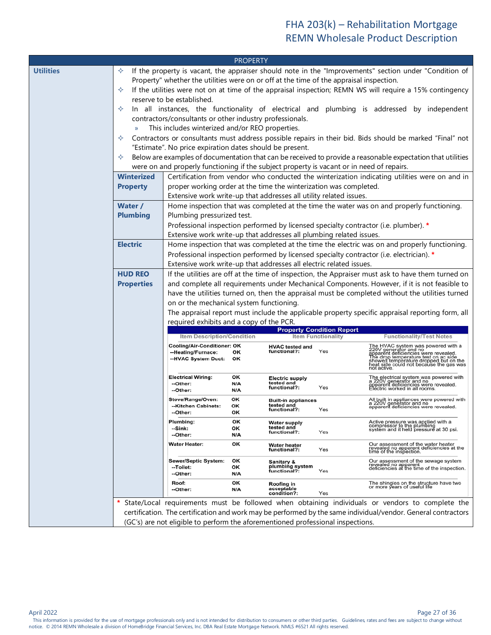<span id="page-26-4"></span><span id="page-26-3"></span><span id="page-26-2"></span><span id="page-26-1"></span><span id="page-26-0"></span>

|                  |                                                                                |                                                                                                                                                                                                                                                                                                                                                                                                                                                                                                  | <b>PROPERTY</b>                                                                                                                |                                                          |     |                                                                                                                                                                                                                                                                                                                                                                                                                                                                                                                                                                                                                                              |
|------------------|--------------------------------------------------------------------------------|--------------------------------------------------------------------------------------------------------------------------------------------------------------------------------------------------------------------------------------------------------------------------------------------------------------------------------------------------------------------------------------------------------------------------------------------------------------------------------------------------|--------------------------------------------------------------------------------------------------------------------------------|----------------------------------------------------------|-----|----------------------------------------------------------------------------------------------------------------------------------------------------------------------------------------------------------------------------------------------------------------------------------------------------------------------------------------------------------------------------------------------------------------------------------------------------------------------------------------------------------------------------------------------------------------------------------------------------------------------------------------------|
| <b>Utilities</b> | ✧<br>✧<br>✧<br>$\mathcal{V}$<br>✧<br>✧<br><b>Winterized</b><br><b>Property</b> | Property" whether the utilities were on or off at the time of the appraisal inspection.<br>reserve to be established.<br>contractors/consultants or other industry professionals.<br>This includes winterized and/or REO properties.<br>"Estimate". No price expiration dates should be present.<br>were on and properly functioning if the subject property is vacant or in need of repairs.<br>proper working order at the time the winterization was completed.                               |                                                                                                                                |                                                          |     | If the property is vacant, the appraiser should note in the "Improvements" section under "Condition of<br>If the utilities were not on at time of the appraisal inspection; REMN WS will require a 15% contingency<br>In all instances, the functionality of electrical and plumbing is addressed by independent<br>Contractors or consultants must address possible repairs in their bid. Bids should be marked "Final" not<br>Below are examples of documentation that can be received to provide a reasonable expectation that utilities<br>Certification from vendor who conducted the winterization indicating utilities were on and in |
|                  | Water /<br><b>Plumbing</b>                                                     | Extensive work write-up that addresses all utility related issues.<br>Home inspection that was completed at the time the water was on and properly functioning.<br>Plumbing pressurized test.<br>Professional inspection performed by licensed specialty contractor (i.e. plumber). *<br>Extensive work write-up that addresses all plumbing related issues.                                                                                                                                     |                                                                                                                                |                                                          |     |                                                                                                                                                                                                                                                                                                                                                                                                                                                                                                                                                                                                                                              |
|                  | <b>Electric</b>                                                                | Home inspection that was completed at the time the electric was on and properly functioning.<br>Professional inspection performed by licensed specialty contractor (i.e. electrician). *<br>Extensive work write-up that addresses all electric related issues.                                                                                                                                                                                                                                  |                                                                                                                                |                                                          |     |                                                                                                                                                                                                                                                                                                                                                                                                                                                                                                                                                                                                                                              |
|                  | <b>HUD REO</b><br><b>Properties</b>                                            | If the utilities are off at the time of inspection, the Appraiser must ask to have them turned on<br>and complete all requirements under Mechanical Components. However, if it is not feasible to<br>have the utilities turned on, then the appraisal must be completed without the utilities turned<br>on or the mechanical system functioning.<br>The appraisal report must include the applicable property specific appraisal reporting form, all<br>required exhibits and a copy of the PCR. |                                                                                                                                |                                                          |     |                                                                                                                                                                                                                                                                                                                                                                                                                                                                                                                                                                                                                                              |
|                  |                                                                                |                                                                                                                                                                                                                                                                                                                                                                                                                                                                                                  | <b>Property Condition Report</b><br><b>Item Functionality</b><br>Item Description/Condition<br><b>Functionality/Test Notes</b> |                                                          |     |                                                                                                                                                                                                                                                                                                                                                                                                                                                                                                                                                                                                                                              |
|                  |                                                                                | <b>Cooling/Air-Conditioner: OK</b><br>--Heating/Furnace:<br>--HVAC System Duct:                                                                                                                                                                                                                                                                                                                                                                                                                  | οк<br>ОΚ                                                                                                                       | <b>HVAC tested and</b><br>functional?:                   | Yes | The HVAC system was powered with a 220V generator and no<br>apparent deficiencies were revealed.<br>The drop temperature test on ac side<br>showed temperature test on ac side<br>showed temperature dropped but on the<br>heat side could no                                                                                                                                                                                                                                                                                                                                                                                                |
|                  |                                                                                | <b>Electrical Wiring:</b><br>--Other:<br>--Other:                                                                                                                                                                                                                                                                                                                                                                                                                                                | OK<br>N/A<br>N/A                                                                                                               | Electric supply<br>tested and<br>functional?:            | Yes | The electrical system was powered with<br>a 220V generator and no<br>apparent deficiencies were revealed.<br>Electric worked in all rooms.                                                                                                                                                                                                                                                                                                                                                                                                                                                                                                   |
|                  |                                                                                | Stove/Range/Oven:<br>--Kitchen Cabinets:<br>--Other:                                                                                                                                                                                                                                                                                                                                                                                                                                             | ОΚ<br>OK<br>ОΚ                                                                                                                 | <b>Built-in appliances</b><br>tested and<br>functional?: | Yes | All built in appliances were powered with<br>a 220V generator and no<br>apparent deficiencies were revealed.                                                                                                                                                                                                                                                                                                                                                                                                                                                                                                                                 |
|                  |                                                                                | Plumbing:<br>--Sink:<br>--Other:                                                                                                                                                                                                                                                                                                                                                                                                                                                                 | OK<br>ок<br>N/A                                                                                                                | Water supply<br>tested and<br>functional?:               | Yes | Active pressure was applied with a<br>compressor to the plumbing<br>system and it held pressure at 30 psi.                                                                                                                                                                                                                                                                                                                                                                                                                                                                                                                                   |
|                  |                                                                                | Water Heater:                                                                                                                                                                                                                                                                                                                                                                                                                                                                                    | OK                                                                                                                             | <b>Water heater</b><br>functional?:                      | Yes | Our assessment of the water heater<br>revealed no apparent deficiencies at the<br>time of the inspection.                                                                                                                                                                                                                                                                                                                                                                                                                                                                                                                                    |
|                  |                                                                                | Sewer/Septic System:<br>--Toilet:<br>--Other:                                                                                                                                                                                                                                                                                                                                                                                                                                                    | ОΚ<br>ок<br>N/A                                                                                                                | Sanitary &<br>plumbing system<br>functional?:            | Yes | Our assessment of the sewage system<br>revealed no apparent<br>deficiencies at the time of the inspection.                                                                                                                                                                                                                                                                                                                                                                                                                                                                                                                                   |
|                  |                                                                                | Roof:<br>--Other:                                                                                                                                                                                                                                                                                                                                                                                                                                                                                | ОΚ<br>N/A                                                                                                                      | Roofing in<br>acceptable<br>condition?:                  | Yes | The shingles on the structure have two<br>or more years of useful life                                                                                                                                                                                                                                                                                                                                                                                                                                                                                                                                                                       |
|                  |                                                                                | (GC's) are not eligible to perform the aforementioned professional inspections.                                                                                                                                                                                                                                                                                                                                                                                                                  |                                                                                                                                |                                                          |     | State/Local requirements must be followed when obtaining individuals or vendors to complete the<br>certification. The certification and work may be performed by the same individual/vendor. General contractors                                                                                                                                                                                                                                                                                                                                                                                                                             |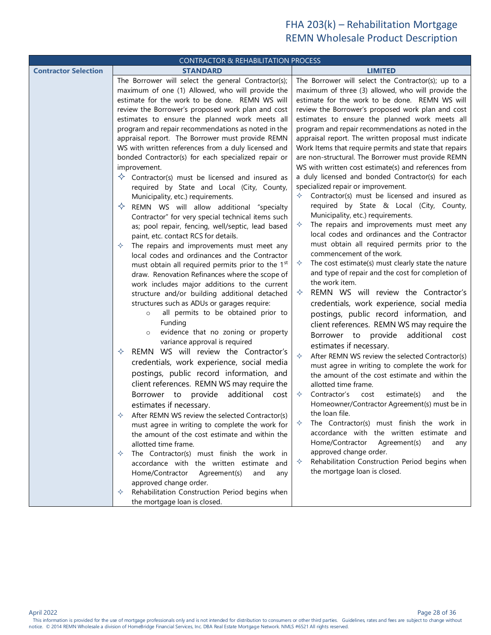<span id="page-27-2"></span><span id="page-27-1"></span><span id="page-27-0"></span>

| <b>CONTRACTOR &amp; REHABILITATION PROCESS</b> |                                                                                                            |                                                                                                                |  |  |
|------------------------------------------------|------------------------------------------------------------------------------------------------------------|----------------------------------------------------------------------------------------------------------------|--|--|
| <b>Contractor Selection</b>                    | <b>STANDARD</b>                                                                                            | <b>LIMITED</b>                                                                                                 |  |  |
|                                                | The Borrower will select the general Contractor(s);                                                        | The Borrower will select the Contractor(s); up to a                                                            |  |  |
|                                                | maximum of one (1) Allowed, who will provide the                                                           | maximum of three (3) allowed, who will provide the                                                             |  |  |
|                                                | estimate for the work to be done. REMN WS will                                                             | estimate for the work to be done. REMN WS will                                                                 |  |  |
|                                                | review the Borrower's proposed work plan and cost                                                          | review the Borrower's proposed work plan and cost                                                              |  |  |
|                                                | estimates to ensure the planned work meets all                                                             | estimates to ensure the planned work meets all                                                                 |  |  |
|                                                | program and repair recommendations as noted in the                                                         | program and repair recommendations as noted in the                                                             |  |  |
|                                                | appraisal report. The Borrower must provide REMN                                                           | appraisal report. The written proposal must indicate<br>Work Items that require permits and state that repairs |  |  |
|                                                | WS with written references from a duly licensed and<br>bonded Contractor(s) for each specialized repair or | are non-structural. The Borrower must provide REMN                                                             |  |  |
|                                                | improvement.                                                                                               | WS with written cost estimate(s) and references from                                                           |  |  |
|                                                | $\diamondsuit$ Contractor(s) must be licensed and insured as                                               | a duly licensed and bonded Contractor(s) for each                                                              |  |  |
|                                                | required by State and Local (City, County,                                                                 | specialized repair or improvement.                                                                             |  |  |
|                                                | Municipality, etc.) requirements.                                                                          | Contractor(s) must be licensed and insured as                                                                  |  |  |
|                                                | REMN WS will allow additional "specialty<br>✧                                                              | required by State & Local (City, County,                                                                       |  |  |
|                                                | Contractor" for very special technical items such                                                          | Municipality, etc.) requirements.                                                                              |  |  |
|                                                | as; pool repair, fencing, well/septic, lead based                                                          | The repairs and improvements must meet any<br>✧                                                                |  |  |
|                                                | paint, etc. contact RCS for details.                                                                       | local codes and ordinances and the Contractor                                                                  |  |  |
|                                                | The repairs and improvements must meet any                                                                 | must obtain all required permits prior to the                                                                  |  |  |
|                                                | local codes and ordinances and the Contractor                                                              | commencement of the work.                                                                                      |  |  |
|                                                | must obtain all required permits prior to the 1 <sup>st</sup>                                              | The cost estimate(s) must clearly state the nature<br>✧                                                        |  |  |
|                                                | draw. Renovation Refinances where the scope of                                                             | and type of repair and the cost for completion of<br>the work item.                                            |  |  |
|                                                | work includes major additions to the current                                                               |                                                                                                                |  |  |
|                                                | structure and/or building additional detached                                                              | REMN WS will review the Contractor's<br>✧                                                                      |  |  |
|                                                | structures such as ADUs or garages require:                                                                | credentials, work experience, social media                                                                     |  |  |
|                                                | all permits to be obtained prior to<br>$\circ$<br>Funding                                                  | postings, public record information, and                                                                       |  |  |
|                                                | evidence that no zoning or property                                                                        | client references. REMN WS may require the                                                                     |  |  |
|                                                | variance approval is required                                                                              | additional<br>Borrower to<br>provide<br>cost                                                                   |  |  |
|                                                | REMN WS will review the Contractor's<br>✧                                                                  | estimates if necessary.                                                                                        |  |  |
|                                                | credentials, work experience, social media                                                                 | ♦<br>After REMN WS review the selected Contractor(s)                                                           |  |  |
|                                                | postings, public record information, and                                                                   | must agree in writing to complete the work for<br>the amount of the cost estimate and within the               |  |  |
|                                                | client references. REMN WS may require the                                                                 | allotted time frame.                                                                                           |  |  |
|                                                | Borrower to provide<br>additional cost                                                                     | ✧<br>Contractor's<br>estimate(s)<br>cost<br>and<br>the                                                         |  |  |
|                                                | estimates if necessary.                                                                                    | Homeowner/Contractor Agreement(s) must be in                                                                   |  |  |
|                                                | After REMN WS review the selected Contractor(s)                                                            | the loan file.                                                                                                 |  |  |
|                                                | must agree in writing to complete the work for                                                             | The Contractor(s) must finish the work in<br>✧                                                                 |  |  |
|                                                | the amount of the cost estimate and within the                                                             | accordance with the written estimate and                                                                       |  |  |
|                                                | allotted time frame.                                                                                       | Home/Contractor<br>Agreement(s)<br>and<br>any                                                                  |  |  |
|                                                | The Contractor(s) must finish the work in<br>✧                                                             | approved change order.                                                                                         |  |  |
|                                                | accordance with the written estimate and                                                                   | Rehabilitation Construction Period begins when<br>✧                                                            |  |  |
|                                                | Home/Contractor<br>Agreement(s)<br>and<br>any                                                              | the mortgage loan is closed.                                                                                   |  |  |
|                                                | approved change order.                                                                                     |                                                                                                                |  |  |
|                                                | Rehabilitation Construction Period begins when<br>✧                                                        |                                                                                                                |  |  |
|                                                | the mortgage loan is closed.                                                                               |                                                                                                                |  |  |

Page 28 of 36<br>This information is provided for the use of mortgage professionals only and is not intended for distribution to consumers or other third parties. Guidelines, rates and fees are subject to change without notice. © 2014 REMN Wholesale a division of HomeBridge Financial Services, Inc. DBA Real Estate Mortgage Network. NMLS #6521 All rights reserved.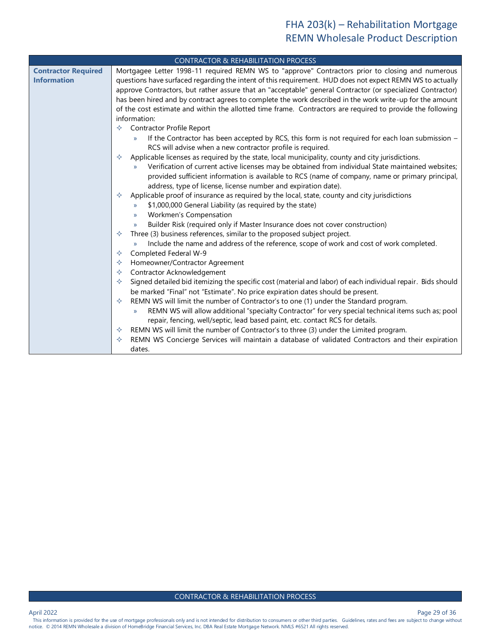<span id="page-28-0"></span>

|                            | <b>CONTRACTOR &amp; REHABILITATION PROCESS</b>                                                                       |  |  |  |
|----------------------------|----------------------------------------------------------------------------------------------------------------------|--|--|--|
| <b>Contractor Required</b> | Mortgagee Letter 1998-11 required REMN WS to "approve" Contractors prior to closing and numerous                     |  |  |  |
| <b>Information</b>         | questions have surfaced regarding the intent of this requirement. HUD does not expect REMN WS to actually            |  |  |  |
|                            | approve Contractors, but rather assure that an "acceptable" general Contractor (or specialized Contractor)           |  |  |  |
|                            | has been hired and by contract agrees to complete the work described in the work write-up for the amount             |  |  |  |
|                            | of the cost estimate and within the allotted time frame. Contractors are required to provide the following           |  |  |  |
|                            | information:                                                                                                         |  |  |  |
|                            | Contractor Profile Report<br>✧                                                                                       |  |  |  |
|                            | If the Contractor has been accepted by RCS, this form is not required for each loan submission -<br>$\mathcal{Y}$    |  |  |  |
|                            | RCS will advise when a new contractor profile is required.                                                           |  |  |  |
|                            | Applicable licenses as required by the state, local municipality, county and city jurisdictions.<br>✧                |  |  |  |
|                            | Verification of current active licenses may be obtained from individual State maintained websites;<br>$\mathcal{V}$  |  |  |  |
|                            | provided sufficient information is available to RCS (name of company, name or primary principal,                     |  |  |  |
|                            | address, type of license, license number and expiration date).                                                       |  |  |  |
|                            | Applicable proof of insurance as required by the local, state, county and city jurisdictions                         |  |  |  |
|                            | \$1,000,000 General Liability (as required by the state)<br>$\mathcal{V}$                                            |  |  |  |
|                            | Workmen's Compensation<br>$\mathcal{Y}$                                                                              |  |  |  |
|                            | Builder Risk (required only if Master Insurance does not cover construction)<br>$\mathcal{V}$                        |  |  |  |
|                            | Three (3) business references, similar to the proposed subject project.<br>✧                                         |  |  |  |
|                            | Include the name and address of the reference, scope of work and cost of work completed.<br>$\mathcal{V}$            |  |  |  |
|                            | Completed Federal W-9<br>✧                                                                                           |  |  |  |
|                            | Homeowner/Contractor Agreement<br>✧                                                                                  |  |  |  |
|                            | Contractor Acknowledgement<br>✧                                                                                      |  |  |  |
|                            | Signed detailed bid itemizing the specific cost (material and labor) of each individual repair. Bids should<br>✧     |  |  |  |
|                            | be marked "Final" not "Estimate". No price expiration dates should be present.                                       |  |  |  |
|                            | REMN WS will limit the number of Contractor's to one (1) under the Standard program.<br>✧                            |  |  |  |
|                            | REMN WS will allow additional "specialty Contractor" for very special technical items such as; pool<br>$\mathcal{V}$ |  |  |  |
|                            | repair, fencing, well/septic, lead based paint, etc. contact RCS for details.                                        |  |  |  |
|                            | REMN WS will limit the number of Contractor's to three (3) under the Limited program.<br>✧                           |  |  |  |
|                            | REMN WS Concierge Services will maintain a database of validated Contractors and their expiration                    |  |  |  |
|                            | dates.                                                                                                               |  |  |  |

Page 29 of 36<br>This information is provided for the use of mortgage professionals only and is not intended for distribution to consumers or other third parties. Guidelines, rates and fees are subject to change without notice. © 2014 REMN Wholesale a division of HomeBridge Financial Services, Inc. DBA Real Estate Mortgage Network. NMLS #6521 All rights reserved.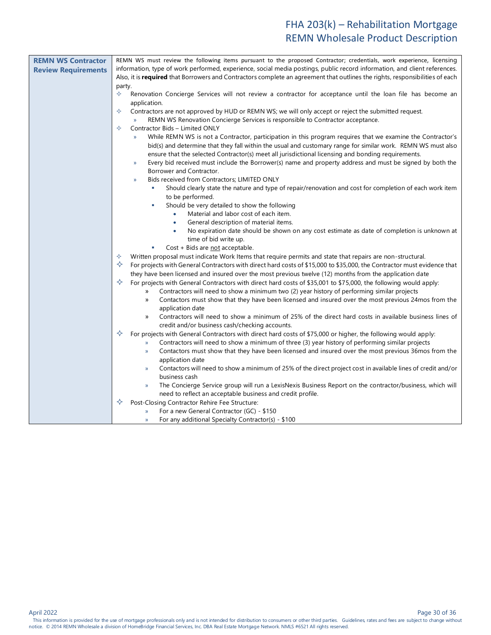<span id="page-29-0"></span>

| <b>REMN WS Contractor</b>  | REMN WS must review the following items pursuant to the proposed Contractor; credentials, work experience, licensing               |  |  |
|----------------------------|------------------------------------------------------------------------------------------------------------------------------------|--|--|
| <b>Review Requirements</b> | information, type of work performed, experience, social media postings, public record information, and client references.          |  |  |
|                            | Also, it is required that Borrowers and Contractors complete an agreement that outlines the rights, responsibilities of each       |  |  |
|                            | party.                                                                                                                             |  |  |
|                            | ✧<br>Renovation Concierge Services will not review a contractor for acceptance until the loan file has become an                   |  |  |
|                            | application.                                                                                                                       |  |  |
|                            | ✧<br>Contractors are not approved by HUD or REMN WS; we will only accept or reject the submitted request.                          |  |  |
|                            | REMN WS Renovation Concierge Services is responsible to Contractor acceptance.<br>$\mathcal{Y}$                                    |  |  |
|                            | Contractor Bids - Limited ONLY<br>✧                                                                                                |  |  |
|                            | While REMN WS is not a Contractor, participation in this program requires that we examine the Contractor's<br>$\mathcal{Y}$        |  |  |
|                            | bid(s) and determine that they fall within the usual and customary range for similar work. REMN WS must also                       |  |  |
|                            | ensure that the selected Contractor(s) meet all jurisdictional licensing and bonding requirements.                                 |  |  |
|                            | Every bid received must include the Borrower(s) name and property address and must be signed by both the<br>$\mathcal{Y}$          |  |  |
|                            | Borrower and Contractor.                                                                                                           |  |  |
|                            | Bids received from Contractors; LIMITED ONLY<br>$\mathcal{Y}$                                                                      |  |  |
|                            | Should clearly state the nature and type of repair/renovation and cost for completion of each work item                            |  |  |
|                            | to be performed.                                                                                                                   |  |  |
|                            | Should be very detailed to show the following<br>٠                                                                                 |  |  |
|                            | Material and labor cost of each item.<br>$\bullet$                                                                                 |  |  |
|                            | General description of material items.                                                                                             |  |  |
|                            | No expiration date should be shown on any cost estimate as date of completion is unknown at<br>۰                                   |  |  |
|                            | time of bid write up.                                                                                                              |  |  |
|                            | Cost + Bids are not acceptable.<br>r.                                                                                              |  |  |
|                            | Written proposal must indicate Work Items that require permits and state that repairs are non-structural.<br>✧<br>✧                |  |  |
|                            | For projects with General Contractors with direct hard costs of \$15,000 to \$35,000, the Contractor must evidence that            |  |  |
|                            | they have been licensed and insured over the most previous twelve (12) months from the application date                            |  |  |
|                            | For projects with General Contractors with direct hard costs of \$35,001 to \$75,000, the following would apply:                   |  |  |
|                            | Contractors will need to show a minimum two (2) year history of performing similar projects<br>>>                                  |  |  |
|                            | Contactors must show that they have been licensed and insured over the most previous 24mos from the<br>$\rangle$                   |  |  |
|                            | application date<br>Contractors will need to show a minimum of 25% of the direct hard costs in available business lines of         |  |  |
|                            | $\rangle$<br>credit and/or business cash/checking accounts.                                                                        |  |  |
|                            | ✧<br>For projects with General Contractors with direct hard costs of \$75,000 or higher, the following would apply:                |  |  |
|                            | Contractors will need to show a minimum of three (3) year history of performing similar projects<br>$\rangle\!\rangle$             |  |  |
|                            | Contactors must show that they have been licensed and insured over the most previous 36mos from the<br>$\mathcal{V}$               |  |  |
|                            | application date                                                                                                                   |  |  |
|                            | Contactors will need to show a minimum of 25% of the direct project cost in available lines of credit and/or<br>$\rangle\!\rangle$ |  |  |
|                            | business cash                                                                                                                      |  |  |
|                            | The Concierge Service group will run a LexisNexis Business Report on the contractor/business, which will<br>$\rightarrow$          |  |  |
|                            | need to reflect an acceptable business and credit profile.                                                                         |  |  |
|                            | Post-Closing Contractor Rehire Fee Structure:                                                                                      |  |  |
|                            | For a new General Contractor (GC) - \$150<br>X)                                                                                    |  |  |
|                            | For any additional Specialty Contractor(s) - \$100<br>$\mathcal{Y}$                                                                |  |  |

April 2022 Page 30 of 36

Page 30 of 36<br>This information is provided for the use of mortgage professionals only and is not intended for distribution to consumers or other third parties. Guidelines, rates and fees are subject to change without notice. © 2014 REMN Wholesale a division of HomeBridge Financial Services, Inc. DBA Real Estate Mortgage Network. NMLS #6521 All rights reserved.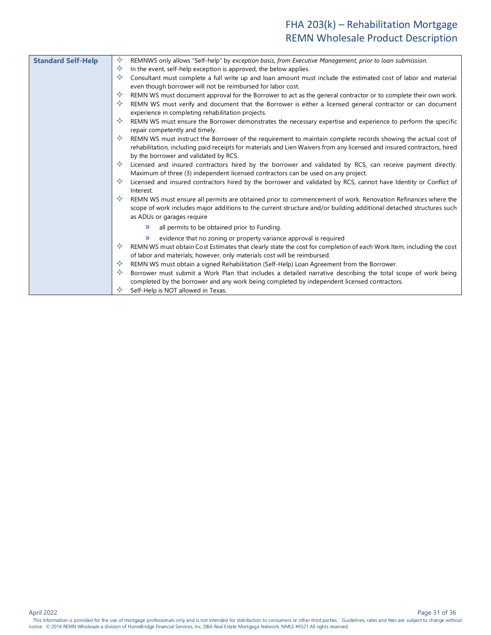<span id="page-30-0"></span>

| <b>Standard Self-Help</b> | ✧<br>REMNWS only allows "Self-help" by exception basis, from Executive Management, prior to loan submission.             |
|---------------------------|--------------------------------------------------------------------------------------------------------------------------|
|                           | ✧<br>In the event, self-help exception is approved, the below applies.                                                   |
|                           | ✧<br>Consultant must complete a full write up and loan amount must include the estimated cost of labor and material      |
|                           | even though borrower will not be reimbursed for labor cost.                                                              |
|                           | ✧<br>REMN WS must document approval for the Borrower to act as the general contractor or to complete their own work.     |
|                           | ✧<br>REMN WS must verify and document that the Borrower is either a licensed general contractor or can document          |
|                           | experience in completing rehabilitation projects.                                                                        |
|                           | ✧<br>REMN WS must ensure the Borrower demonstrates the necessary expertise and experience to perform the specific        |
|                           | repair competently and timely.                                                                                           |
|                           | ✧<br>REMN WS must instruct the Borrower of the requirement to maintain complete records showing the actual cost of       |
|                           | rehabilitation, including paid receipts for materials and Lien Waivers from any licensed and insured contractors, hired  |
|                           | by the borrower and validated by RCS.                                                                                    |
|                           | ✧<br>Licensed and insured contractors hired by the borrower and validated by RCS, can receive payment directly.          |
|                           | Maximum of three (3) independent licensed contractors can be used on any project.                                        |
|                           | ✧<br>Licensed and insured contractors hired by the borrower and validated by RCS, cannot have Identity or Conflict of    |
|                           | Interest.                                                                                                                |
|                           | ✧<br>REMN WS must ensure all permits are obtained prior to commencement of work. Renovation Refinances where the         |
|                           | scope of work includes major additions to the current structure and/or building additional detached structures such      |
|                           | as ADUs or garages require                                                                                               |
|                           | all permits to be obtained prior to Funding.<br>$\rangle$                                                                |
|                           | evidence that no zoning or property variance approval is required<br>»                                                   |
|                           | ✧<br>REMN WS must obtain Cost Estimates that clearly state the cost for completion of each Work Item, including the cost |
|                           | of labor and materials; however, only materials cost will be reimbursed.                                                 |
|                           | REMN WS must obtain a signed Rehabilitation (Self-Help) Loan Agreement from the Borrower.<br>✧                           |
|                           | ✧<br>Borrower must submit a Work Plan that includes a detailed narrative describing the total scope of work being        |
|                           | completed by the borrower and any work being completed by independent licensed contractors.                              |
|                           | ✧<br>Self-Help is NOT allowed in Texas.                                                                                  |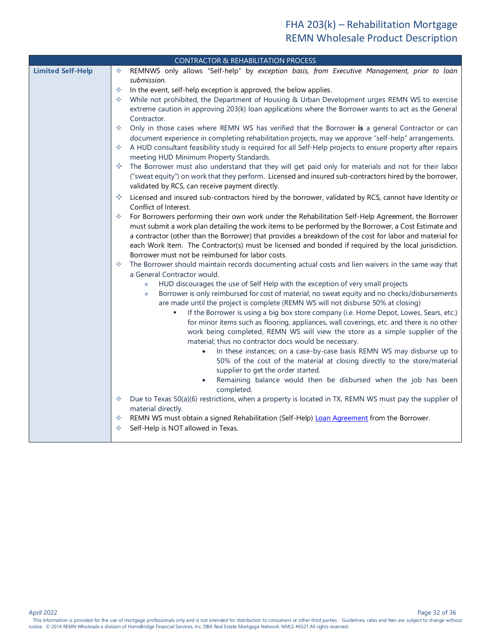<span id="page-31-0"></span>

| <b>CONTRACTOR &amp; REHABILITATION PROCESS</b> |                                                                                                                                                            |  |
|------------------------------------------------|------------------------------------------------------------------------------------------------------------------------------------------------------------|--|
| <b>Limited Self-Help</b>                       | REMNWS only allows "Self-help" by exception basis, from Executive Management, prior to loan<br>✧                                                           |  |
|                                                | submission.                                                                                                                                                |  |
|                                                | In the event, self-help exception is approved, the below applies.<br>✧                                                                                     |  |
|                                                | While not prohibited, the Department of Housing & Urban Development urges REMN WS to exercise<br>✧                                                         |  |
|                                                | extreme caution in approving 203(k) loan applications where the Borrower wants to act as the General                                                       |  |
|                                                | Contractor.                                                                                                                                                |  |
|                                                | Only in those cases where REMN WS has verified that the Borrower is a general Contractor or can<br>✧                                                       |  |
|                                                | document experience in completing rehabilitation projects, may we approve "self-help" arrangements.                                                        |  |
|                                                | A HUD consultant feasibility study is required for all Self-Help projects to ensure property after repairs<br>✧                                            |  |
|                                                | meeting HUD Minimum Property Standards.                                                                                                                    |  |
|                                                | The Borrower must also understand that they will get paid only for materials and not for their labor<br>✧                                                  |  |
|                                                | ("sweat equity") on work that they perform. Licensed and insured sub-contractors hired by the borrower,<br>validated by RCS, can receive payment directly. |  |
|                                                | Licensed and insured sub-contractors hired by the borrower, validated by RCS, cannot have Identity or<br>✧                                                 |  |
|                                                | Conflict of Interest.                                                                                                                                      |  |
|                                                | For Borrowers performing their own work under the Rehabilitation Self-Help Agreement, the Borrower<br>✧                                                    |  |
|                                                | must submit a work plan detailing the work items to be performed by the Borrower, a Cost Estimate and                                                      |  |
|                                                | a contractor (other than the Borrower) that provides a breakdown of the cost for labor and material for                                                    |  |
|                                                | each Work Item. The Contractor(s) must be licensed and bonded if required by the local jurisdiction.                                                       |  |
|                                                | Borrower must not be reimbursed for labor costs.                                                                                                           |  |
|                                                | The Borrower should maintain records documenting actual costs and lien waivers in the same way that<br>✧<br>a General Contractor would.                    |  |
|                                                | HUD discourages the use of Self Help with the exception of very small projects<br>$\mathcal{Y}$                                                            |  |
|                                                | Borrower is only reimbursed for cost of material; no sweat equity and no checks/disbursements<br>$\mathcal{Y}$                                             |  |
|                                                | are made until the project is complete (REMN WS will not disburse 50% at closing)                                                                          |  |
|                                                | If the Borrower is using a big box store company (i.e. Home Depot, Lowes, Sears, etc.)<br>٠                                                                |  |
|                                                | for minor items such as flooring, appliances, wall coverings, etc. and there is no other                                                                   |  |
|                                                | work being completed, REMN WS will view the store as a simple supplier of the                                                                              |  |
|                                                | material; thus no contractor docs would be necessary.                                                                                                      |  |
|                                                | In these instances; on a case-by-case basis REMN WS may disburse up to                                                                                     |  |
|                                                | 50% of the cost of the material at closing directly to the store/material                                                                                  |  |
|                                                | supplier to get the order started.                                                                                                                         |  |
|                                                | Remaining balance would then be disbursed when the job has been<br>completed.                                                                              |  |
|                                                | Due to Texas 50(a)(6) restrictions, when a property is located in TX, REMN WS must pay the supplier of<br>✧                                                |  |
|                                                | material directly.                                                                                                                                         |  |
|                                                | REMN WS must obtain a signed Rehabilitation (Self-Help) Loan Agreement from the Borrower.<br>✧                                                             |  |
|                                                | Self-Help is NOT allowed in Texas.<br>✧                                                                                                                    |  |

Page 32 of 36<br>This information is provided for the use of mortgage professionals only and is not intended for distribution to consumers or other third parties. Guidelines, rates and fees are subject to change without notice. © 2014 REMN Wholesale a division of HomeBridge Financial Services, Inc. DBA Real Estate Mortgage Network. NMLS #6521 All rights reserved.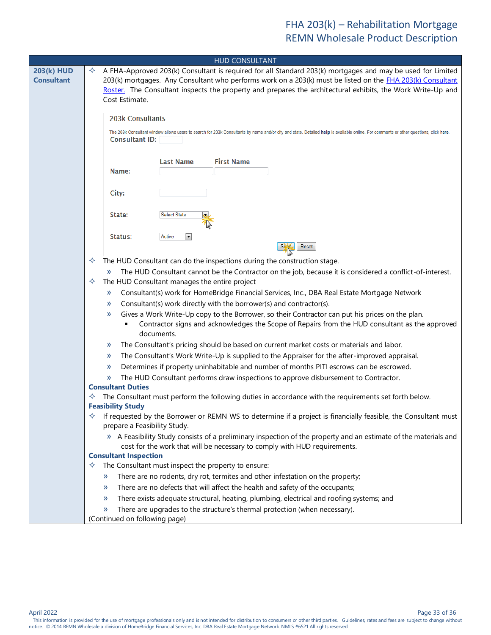<span id="page-32-3"></span><span id="page-32-2"></span><span id="page-32-1"></span><span id="page-32-0"></span>

| <b>HUD CONSULTANT</b> |                                                                                                                                                                                       |  |
|-----------------------|---------------------------------------------------------------------------------------------------------------------------------------------------------------------------------------|--|
| <b>203(k) HUD</b>     | A FHA-Approved 203(k) Consultant is required for all Standard 203(k) mortgages and may be used for Limited<br>✧                                                                       |  |
| <b>Consultant</b>     | 203(k) mortgages. Any Consultant who performs work on a 203(k) must be listed on the FHA 203(k) Consultant                                                                            |  |
|                       | Roster. The Consultant inspects the property and prepares the architectural exhibits, the Work Write-Up and                                                                           |  |
|                       | Cost Estimate.                                                                                                                                                                        |  |
|                       | <b>203k Consultants</b>                                                                                                                                                               |  |
|                       | The 203k Consultant window allows users to search for 203k Consultants by name and/or city and state. Detailed help is available online. For comments or other questions, click here. |  |
|                       | <b>Consultant ID:</b>                                                                                                                                                                 |  |
|                       |                                                                                                                                                                                       |  |
|                       | <b>First Name</b><br><b>Last Name</b>                                                                                                                                                 |  |
|                       | Name:                                                                                                                                                                                 |  |
|                       | City:                                                                                                                                                                                 |  |
|                       |                                                                                                                                                                                       |  |
|                       | State:<br><b>Select State</b>                                                                                                                                                         |  |
|                       |                                                                                                                                                                                       |  |
|                       | Status:<br>Active<br>$\blacktriangledown$                                                                                                                                             |  |
|                       | Reset                                                                                                                                                                                 |  |
|                       | The HUD Consultant can do the inspections during the construction stage.<br>✧                                                                                                         |  |
|                       | The HUD Consultant cannot be the Contractor on the job, because it is considered a conflict-of-interest.<br>$\rightarrow$                                                             |  |
|                       | The HUD Consultant manages the entire project<br>✧                                                                                                                                    |  |
|                       | Consultant(s) work for HomeBridge Financial Services, Inc., DBA Real Estate Mortgage Network<br>$\mathcal{Y}$                                                                         |  |
|                       | Consultant(s) work directly with the borrower(s) and contractor(s).<br>$\rightarrow$                                                                                                  |  |
|                       | Gives a Work Write-Up copy to the Borrower, so their Contractor can put his prices on the plan.<br>$\rightarrow$                                                                      |  |
|                       | Contractor signs and acknowledges the Scope of Repairs from the HUD consultant as the approved                                                                                        |  |
|                       | documents.                                                                                                                                                                            |  |
|                       | The Consultant's pricing should be based on current market costs or materials and labor.<br>$\rightarrow$                                                                             |  |
|                       | The Consultant's Work Write-Up is supplied to the Appraiser for the after-improved appraisal.<br>$\rightarrow$                                                                        |  |
|                       | Determines if property uninhabitable and number of months PITI escrows can be escrowed.<br>»                                                                                          |  |
|                       | The HUD Consultant performs draw inspections to approve disbursement to Contractor.<br>»<br><b>Consultant Duties</b>                                                                  |  |
|                       | The Consultant must perform the following duties in accordance with the requirements set forth below.                                                                                 |  |
|                       | <b>Feasibility Study</b>                                                                                                                                                              |  |
|                       | If requested by the Borrower or REMN WS to determine if a project is financially feasible, the Consultant must                                                                        |  |
|                       | prepare a Feasibility Study.                                                                                                                                                          |  |
|                       | » A Feasibility Study consists of a preliminary inspection of the property and an estimate of the materials and                                                                       |  |
|                       | cost for the work that will be necessary to comply with HUD requirements.<br><b>Consultant Inspection</b>                                                                             |  |
|                       | The Consultant must inspect the property to ensure:<br>✧                                                                                                                              |  |
|                       | There are no rodents, dry rot, termites and other infestation on the property;<br>»                                                                                                   |  |
|                       | There are no defects that will affect the health and safety of the occupants;<br>»                                                                                                    |  |
|                       | There exists adequate structural, heating, plumbing, electrical and roofing systems; and<br>»                                                                                         |  |
|                       | There are upgrades to the structure's thermal protection (when necessary).<br>$\gg$                                                                                                   |  |
|                       | (Continued on following page)                                                                                                                                                         |  |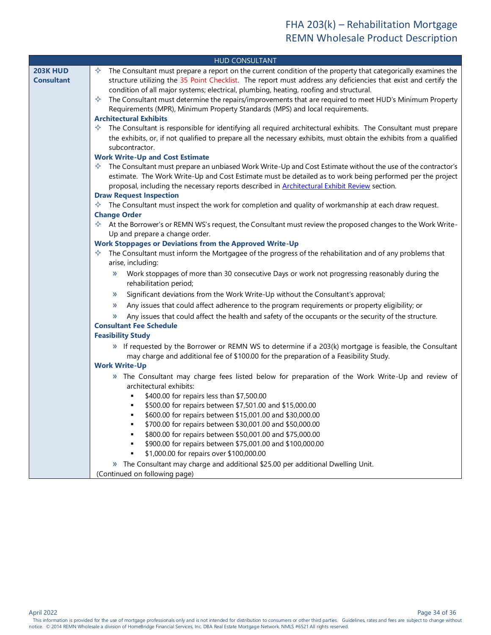<span id="page-33-6"></span><span id="page-33-5"></span><span id="page-33-4"></span><span id="page-33-3"></span><span id="page-33-2"></span><span id="page-33-1"></span><span id="page-33-0"></span>

| <b>HUD CONSULTANT</b> |                                                                                                                                        |  |
|-----------------------|----------------------------------------------------------------------------------------------------------------------------------------|--|
| <b>203K HUD</b>       | The Consultant must prepare a report on the current condition of the property that categorically examines the<br>✧                     |  |
| <b>Consultant</b>     | structure utilizing the 35 Point Checklist. The report must address any deficiencies that exist and certify the                        |  |
|                       | condition of all major systems; electrical, plumbing, heating, roofing and structural.                                                 |  |
|                       | The Consultant must determine the repairs/improvements that are required to meet HUD's Minimum Property<br>✧                           |  |
|                       | Requirements (MPR), Minimum Property Standards (MPS) and local requirements.                                                           |  |
|                       | <b>Architectural Exhibits</b>                                                                                                          |  |
|                       | The Consultant is responsible for identifying all required architectural exhibits. The Consultant must prepare<br>✧                    |  |
|                       | the exhibits, or, if not qualified to prepare all the necessary exhibits, must obtain the exhibits from a qualified                    |  |
|                       | subcontractor.                                                                                                                         |  |
|                       | <b>Work Write-Up and Cost Estimate</b>                                                                                                 |  |
|                       | The Consultant must prepare an unbiased Work Write-Up and Cost Estimate without the use of the contractor's<br>✧                       |  |
|                       | estimate. The Work Write-Up and Cost Estimate must be detailed as to work being performed per the project                              |  |
|                       | proposal, including the necessary reports described in Architectural Exhibit Review section.                                           |  |
|                       | <b>Draw Request Inspection</b>                                                                                                         |  |
|                       | $\Diamond$ The Consultant must inspect the work for completion and quality of workmanship at each draw request.<br><b>Change Order</b> |  |
|                       | $\Diamond$ At the Borrower's or REMN WS's request, the Consultant must review the proposed changes to the Work Write-                  |  |
|                       | Up and prepare a change order.                                                                                                         |  |
|                       | <b>Work Stoppages or Deviations from the Approved Write-Up</b>                                                                         |  |
|                       | The Consultant must inform the Mortgagee of the progress of the rehabilitation and of any problems that<br>✧                           |  |
|                       | arise, including:                                                                                                                      |  |
|                       | Work stoppages of more than 30 consecutive Days or work not progressing reasonably during the<br>$\gg$                                 |  |
|                       | rehabilitation period;                                                                                                                 |  |
|                       | Significant deviations from the Work Write-Up without the Consultant's approval;<br>»                                                  |  |
|                       | Any issues that could affect adherence to the program requirements or property eligibility; or<br>»                                    |  |
|                       | Any issues that could affect the health and safety of the occupants or the security of the structure.<br>»                             |  |
|                       | <b>Consultant Fee Schedule</b>                                                                                                         |  |
|                       | <b>Feasibility Study</b>                                                                                                               |  |
|                       | » If requested by the Borrower or REMN WS to determine if a 203(k) mortgage is feasible, the Consultant                                |  |
|                       | may charge and additional fee of \$100.00 for the preparation of a Feasibility Study.                                                  |  |
|                       | <b>Work Write-Up</b>                                                                                                                   |  |
|                       | » The Consultant may charge fees listed below for preparation of the Work Write-Up and review of                                       |  |
|                       | architectural exhibits:                                                                                                                |  |
|                       | \$400.00 for repairs less than \$7,500.00                                                                                              |  |
|                       | \$500.00 for repairs between \$7,501.00 and \$15,000.00                                                                                |  |
|                       | \$600.00 for repairs between \$15,001.00 and \$30,000.00                                                                               |  |
|                       | \$700.00 for repairs between \$30,001.00 and \$50,000.00                                                                               |  |
|                       | \$800.00 for repairs between \$50,001.00 and \$75,000.00                                                                               |  |
|                       | \$900.00 for repairs between \$75,001.00 and \$100,000.00                                                                              |  |
|                       | \$1,000.00 for repairs over \$100,000.00                                                                                               |  |
|                       | » The Consultant may charge and additional \$25.00 per additional Dwelling Unit.                                                       |  |
|                       | (Continued on following page)                                                                                                          |  |

<span id="page-33-7"></span>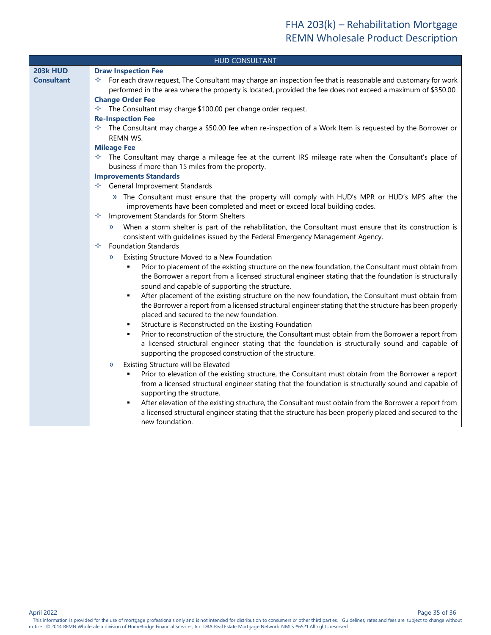<span id="page-34-4"></span><span id="page-34-3"></span><span id="page-34-2"></span><span id="page-34-1"></span><span id="page-34-0"></span>

| <b>HUD CONSULTANT</b> |                                                                                                                                                                                                                                                                                                                                                                                                         |  |
|-----------------------|---------------------------------------------------------------------------------------------------------------------------------------------------------------------------------------------------------------------------------------------------------------------------------------------------------------------------------------------------------------------------------------------------------|--|
| <b>203k HUD</b>       | <b>Draw Inspection Fee</b>                                                                                                                                                                                                                                                                                                                                                                              |  |
| <b>Consultant</b>     | $\Diamond$ For each draw request, The Consultant may charge an inspection fee that is reasonable and customary for work<br>performed in the area where the property is located, provided the fee does not exceed a maximum of \$350.00.                                                                                                                                                                 |  |
|                       | <b>Change Order Fee</b>                                                                                                                                                                                                                                                                                                                                                                                 |  |
|                       | $\Diamond$ The Consultant may charge \$100.00 per change order request.<br><b>Re-Inspection Fee</b>                                                                                                                                                                                                                                                                                                     |  |
|                       | $\Diamond$ The Consultant may charge a \$50.00 fee when re-inspection of a Work Item is requested by the Borrower or                                                                                                                                                                                                                                                                                    |  |
|                       | <b>REMN WS.</b>                                                                                                                                                                                                                                                                                                                                                                                         |  |
|                       | <b>Mileage Fee</b>                                                                                                                                                                                                                                                                                                                                                                                      |  |
|                       | $\Diamond$ The Consultant may charge a mileage fee at the current IRS mileage rate when the Consultant's place of<br>business if more than 15 miles from the property.                                                                                                                                                                                                                                  |  |
|                       | <b>Improvements Standards</b>                                                                                                                                                                                                                                                                                                                                                                           |  |
|                       | $\Leftrightarrow$ General Improvement Standards                                                                                                                                                                                                                                                                                                                                                         |  |
|                       | » The Consultant must ensure that the property will comply with HUD's MPR or HUD's MPS after the<br>improvements have been completed and meet or exceed local building codes.                                                                                                                                                                                                                           |  |
|                       | Improvement Standards for Storm Shelters<br>✧                                                                                                                                                                                                                                                                                                                                                           |  |
|                       | » When a storm shelter is part of the rehabilitation, the Consultant must ensure that its construction is<br>consistent with guidelines issued by the Federal Emergency Management Agency.                                                                                                                                                                                                              |  |
|                       | <b>Foundation Standards</b><br>✧                                                                                                                                                                                                                                                                                                                                                                        |  |
|                       | Existing Structure Moved to a New Foundation<br>»                                                                                                                                                                                                                                                                                                                                                       |  |
|                       | Prior to placement of the existing structure on the new foundation, the Consultant must obtain from<br>٠<br>the Borrower a report from a licensed structural engineer stating that the foundation is structurally<br>sound and capable of supporting the structure.                                                                                                                                     |  |
|                       | After placement of the existing structure on the new foundation, the Consultant must obtain from<br>٠<br>the Borrower a report from a licensed structural engineer stating that the structure has been properly<br>placed and secured to the new foundation.                                                                                                                                            |  |
|                       | Structure is Reconstructed on the Existing Foundation<br>$\blacksquare$                                                                                                                                                                                                                                                                                                                                 |  |
|                       | Prior to reconstruction of the structure, the Consultant must obtain from the Borrower a report from<br>٠<br>a licensed structural engineer stating that the foundation is structurally sound and capable of<br>supporting the proposed construction of the structure.                                                                                                                                  |  |
|                       | Existing Structure will be Elevated<br>»<br>Prior to elevation of the existing structure, the Consultant must obtain from the Borrower a report<br>٠<br>from a licensed structural engineer stating that the foundation is structurally sound and capable of<br>supporting the structure.<br>After elevation of the existing structure, the Consultant must obtain from the Borrower a report from<br>٠ |  |
|                       | a licensed structural engineer stating that the structure has been properly placed and secured to the<br>new foundation.                                                                                                                                                                                                                                                                                |  |